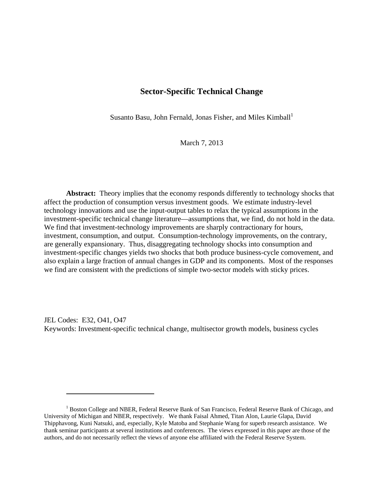## **Sector-Specific Technical Change**

Susanto Basu, John Fernald, Jonas Fisher, and Miles Kimball<sup>1</sup>

March 7, 2013

**Abstract:** Theory implies that the economy responds differently to technology shocks that affect the production of consumption versus investment goods. We estimate industry-level technology innovations and use the input-output tables to relax the typical assumptions in the investment-specific technical change literature—assumptions that, we find, do not hold in the data. We find that investment-technology improvements are sharply contractionary for hours, investment, consumption, and output. Consumption-technology improvements, on the contrary, are generally expansionary. Thus, disaggregating technology shocks into consumption and investment-specific changes yields two shocks that both produce business-cycle comovement, and also explain a large fraction of annual changes in GDP and its components. Most of the responses we find are consistent with the predictions of simple two-sector models with sticky prices.

JEL Codes: E32, O41, O47 Keywords: Investment-specific technical change, multisector growth models, business cycles

<sup>&</sup>lt;sup>1</sup> Boston College and NBER, Federal Reserve Bank of San Francisco, Federal Reserve Bank of Chicago, and University of Michigan and NBER, respectively. We thank Faisal Ahmed, Titan Alon, Laurie Glapa, David Thipphavong, Kuni Natsuki, and, especially, Kyle Matoba and Stephanie Wang for superb research assistance. We thank seminar participants at several institutions and conferences. The views expressed in this paper are those of the authors, and do not necessarily reflect the views of anyone else affiliated with the Federal Reserve System.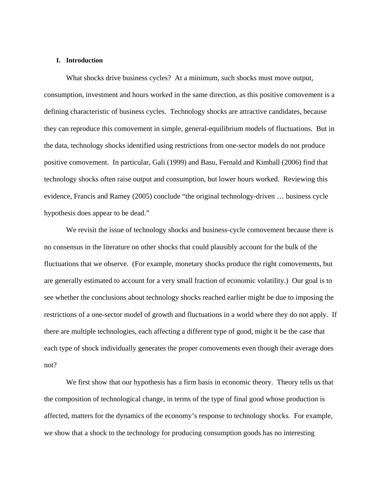#### **I. Introduction**

What shocks drive business cycles? At a minimum, such shocks must move output, consumption, investment and hours worked in the same direction, as this positive comovement is a defining characteristic of business cycles. Technology shocks are attractive candidates, because they can reproduce this comovement in simple, general-equilibrium models of fluctuations. But in the data, technology shocks identified using restrictions from one-sector models do not produce positive comovement. In particular, Gali (1999) and Basu, Fernald and Kimball (2006) find that technology shocks often raise output and consumption, but lower hours worked. Reviewing this evidence, Francis and Ramey (2005) conclude "the original technology-driven … business cycle hypothesis does appear to be dead."

We revisit the issue of technology shocks and business-cycle comovement because there is no consensus in the literature on other shocks that could plausibly account for the bulk of the fluctuations that we observe. (For example, monetary shocks produce the right comovements, but are generally estimated to account for a very small fraction of economic volatility.) Our goal is to see whether the conclusions about technology shocks reached earlier might be due to imposing the restrictions of a one-sector model of growth and fluctuations in a world where they do not apply. If there are multiple technologies, each affecting a different type of good, might it be the case that each type of shock individually generates the proper comovements even though their average does not?

We first show that our hypothesis has a firm basis in economic theory. Theory tells us that the composition of technological change, in terms of the type of final good whose production is affected, matters for the dynamics of the economy's response to technology shocks. For example, we show that a shock to the technology for producing consumption goods has no interesting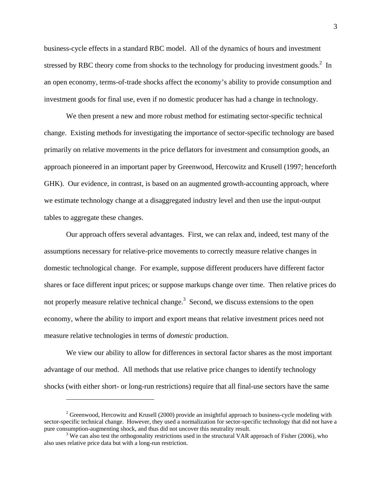business-cycle effects in a standard RBC model. All of the dynamics of hours and investment stressed by RBC theory come from shocks to the technology for producing investment goods. $2$  In an open economy, terms-of-trade shocks affect the economy's ability to provide consumption and investment goods for final use, even if no domestic producer has had a change in technology.

We then present a new and more robust method for estimating sector-specific technical change. Existing methods for investigating the importance of sector-specific technology are based primarily on relative movements in the price deflators for investment and consumption goods, an approach pioneered in an important paper by Greenwood, Hercowitz and Krusell (1997; henceforth GHK). Our evidence, in contrast, is based on an augmented growth-accounting approach, where we estimate technology change at a disaggregated industry level and then use the input-output tables to aggregate these changes.

Our approach offers several advantages. First, we can relax and, indeed, test many of the assumptions necessary for relative-price movements to correctly measure relative changes in domestic technological change. For example, suppose different producers have different factor shares or face different input prices; or suppose markups change over time. Then relative prices do not properly measure relative technical change.<sup>3</sup> Second, we discuss extensions to the open economy, where the ability to import and export means that relative investment prices need not measure relative technologies in terms of *domestic* production.

We view our ability to allow for differences in sectoral factor shares as the most important advantage of our method. All methods that use relative price changes to identify technology shocks (with either short- or long-run restrictions) require that all final-use sectors have the same

 $2^{2}$  Greenwood, Hercowitz and Krusell (2000) provide an insightful approach to business-cycle modeling with sector-specific technical change. However, they used a normalization for sector-specific technology that did not have a pure consumption-augmenting shock, and thus did not uncover this neutrality result.

<sup>&</sup>lt;sup>3</sup> We can also test the orthogonality restrictions used in the structural VAR approach of Fisher (2006), who also uses relative price data but with a long-run restriction.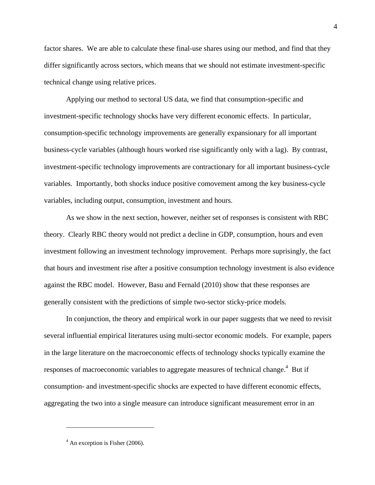factor shares. We are able to calculate these final-use shares using our method, and find that they differ significantly across sectors, which means that we should not estimate investment-specific technical change using relative prices.

Applying our method to sectoral US data, we find that consumption-specific and investment-specific technology shocks have very different economic effects. In particular, consumption-specific technology improvements are generally expansionary for all important business-cycle variables (although hours worked rise significantly only with a lag). By contrast, investment-specific technology improvements are contractionary for all important business-cycle variables. Importantly, both shocks induce positive comovement among the key business-cycle variables, including output, consumption, investment and hours.

As we show in the next section, however, neither set of responses is consistent with RBC theory. Clearly RBC theory would not predict a decline in GDP, consumption, hours and even investment following an investment technology improvement. Perhaps more suprisingly, the fact that hours and investment rise after a positive consumption technology investment is also evidence against the RBC model. However, Basu and Fernald (2010) show that these responses are generally consistent with the predictions of simple two-sector sticky-price models.

In conjunction, the theory and empirical work in our paper suggests that we need to revisit several influential empirical literatures using multi-sector economic models. For example, papers in the large literature on the macroeconomic effects of technology shocks typically examine the responses of macroeconomic variables to aggregate measures of technical change. $4$  But if consumption- and investment-specific shocks are expected to have different economic effects, aggregating the two into a single measure can introduce significant measurement error in an

1

<sup>4</sup>

 $4$  An exception is Fisher (2006).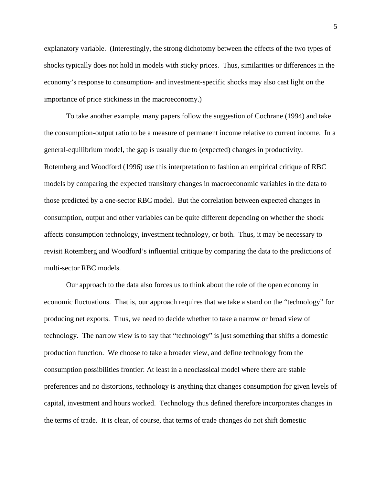explanatory variable. (Interestingly, the strong dichotomy between the effects of the two types of shocks typically does not hold in models with sticky prices. Thus, similarities or differences in the economy's response to consumption- and investment-specific shocks may also cast light on the importance of price stickiness in the macroeconomy.)

To take another example, many papers follow the suggestion of Cochrane (1994) and take the consumption-output ratio to be a measure of permanent income relative to current income. In a general-equilibrium model, the gap is usually due to (expected) changes in productivity. Rotemberg and Woodford (1996) use this interpretation to fashion an empirical critique of RBC models by comparing the expected transitory changes in macroeconomic variables in the data to those predicted by a one-sector RBC model. But the correlation between expected changes in consumption, output and other variables can be quite different depending on whether the shock affects consumption technology, investment technology, or both. Thus, it may be necessary to revisit Rotemberg and Woodford's influential critique by comparing the data to the predictions of multi-sector RBC models.

Our approach to the data also forces us to think about the role of the open economy in economic fluctuations. That is, our approach requires that we take a stand on the "technology" for producing net exports. Thus, we need to decide whether to take a narrow or broad view of technology. The narrow view is to say that "technology" is just something that shifts a domestic production function. We choose to take a broader view, and define technology from the consumption possibilities frontier: At least in a neoclassical model where there are stable preferences and no distortions, technology is anything that changes consumption for given levels of capital, investment and hours worked. Technology thus defined therefore incorporates changes in the terms of trade. It is clear, of course, that terms of trade changes do not shift domestic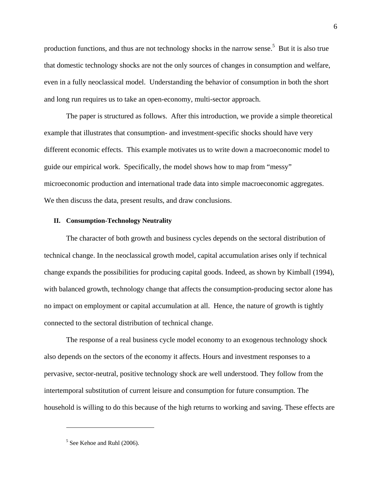production functions, and thus are not technology shocks in the narrow sense.<sup>5</sup> But it is also true that domestic technology shocks are not the only sources of changes in consumption and welfare, even in a fully neoclassical model. Understanding the behavior of consumption in both the short and long run requires us to take an open-economy, multi-sector approach.

The paper is structured as follows. After this introduction, we provide a simple theoretical example that illustrates that consumption- and investment-specific shocks should have very different economic effects. This example motivates us to write down a macroeconomic model to guide our empirical work. Specifically, the model shows how to map from "messy" microeconomic production and international trade data into simple macroeconomic aggregates. We then discuss the data, present results, and draw conclusions.

#### **II. Consumption-Technology Neutrality**

The character of both growth and business cycles depends on the sectoral distribution of technical change. In the neoclassical growth model, capital accumulation arises only if technical change expands the possibilities for producing capital goods. Indeed, as shown by Kimball (1994), with balanced growth, technology change that affects the consumption-producing sector alone has no impact on employment or capital accumulation at all. Hence, the nature of growth is tightly connected to the sectoral distribution of technical change.

The response of a real business cycle model economy to an exogenous technology shock also depends on the sectors of the economy it affects. Hours and investment responses to a pervasive, sector-neutral, positive technology shock are well understood. They follow from the intertemporal substitution of current leisure and consumption for future consumption. The household is willing to do this because of the high returns to working and saving. These effects are

<sup>&</sup>lt;sup>5</sup> See Kehoe and Ruhl (2006).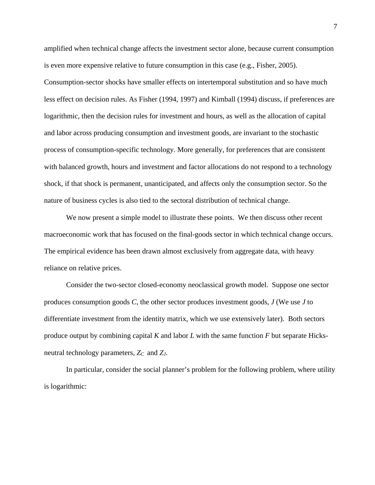amplified when technical change affects the investment sector alone, because current consumption is even more expensive relative to future consumption in this case (e.g., Fisher, 2005). Consumption-sector shocks have smaller effects on intertemporal substitution and so have much less effect on decision rules. As Fisher (1994, 1997) and Kimball (1994) discuss, if preferences are logarithmic, then the decision rules for investment and hours, as well as the allocation of capital and labor across producing consumption and investment goods, are invariant to the stochastic process of consumption-specific technology. More generally, for preferences that are consistent with balanced growth, hours and investment and factor allocations do not respond to a technology shock, if that shock is permanent, unanticipated, and affects only the consumption sector. So the nature of business cycles is also tied to the sectoral distribution of technical change.

We now present a simple model to illustrate these points. We then discuss other recent macroeconomic work that has focused on the final-goods sector in which technical change occurs. The empirical evidence has been drawn almost exclusively from aggregate data, with heavy reliance on relative prices.

Consider the two-sector closed-economy neoclassical growth model. Suppose one sector produces consumption goods *C*, the other sector produces investment goods, *J* (We use *J* to differentiate investment from the identity matrix, which we use extensively later). Both sectors produce output by combining capital *K* and labor *L* with the same function *F* but separate Hicksneutral technology parameters, *ZC* and *ZJ*.

In particular, consider the social planner's problem for the following problem, where utility is logarithmic: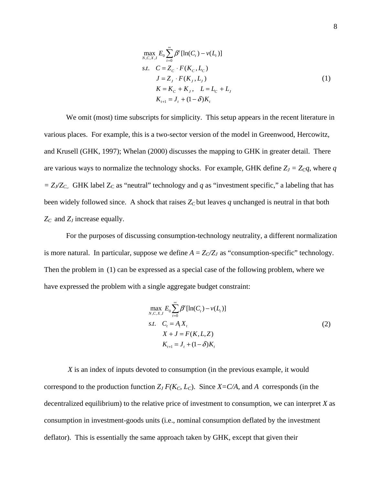$$
\max_{N,C,X,I} E_0 \sum_{t=0}^{\infty} \beta^t [\ln(C_t) - v(L_t)]
$$
  
s.t. 
$$
C = Z_C \cdot F(K_C, L_C)
$$
  

$$
J = Z_J \cdot F(K_J, L_J)
$$
  

$$
K = K_C + K_J, \quad L = L_C + L_J
$$
  

$$
K_{t+1} = J_t + (1 - \delta)K_t
$$
 (1)

We omit (most) time subscripts for simplicity. This setup appears in the recent literature in various places. For example, this is a two-sector version of the model in Greenwood, Hercowitz, and Krusell (GHK, 1997); Whelan (2000) discusses the mapping to GHK in greater detail. There are various ways to normalize the technology shocks. For example, GHK define  $Z_J = Z_c q$ , where *q*  $= Z_J/Z_{C_J}$ . GHK label  $Z_C$  as "neutral" technology and *q* as "investment specific," a labeling that has been widely followed since. A shock that raises  $Z_c$  but leaves q unchanged is neutral in that both *ZC* and *ZJ* increase equally.

For the purposes of discussing consumption-technology neutrality, a different normalization is more natural. In particular, suppose we define  $A = Z_C/Z_J$  as "consumption-specific" technology. Then the problem in (1) can be expressed as a special case of the following problem, where we have expressed the problem with a single aggregate budget constraint:

$$
\max_{N,C,X,I} E_0 \sum_{t=0}^{\infty} \beta^t [\ln(C_t) - v(L_t)]
$$
  
s.t.  $C_t = A_t X_t$   

$$
X + J = F(K, L, Z)
$$
  

$$
K_{t+1} = J_t + (1 - \delta) K_t
$$
 (2)

*X* is an index of inputs devoted to consumption (in the previous example, it would correspond to the production function  $Z_J F(K_C, L_C)$ . Since  $X = C/A$ , and A corresponds (in the decentralized equilibrium) to the relative price of investment to consumption, we can interpret *X* as consumption in investment-goods units (i.e., nominal consumption deflated by the investment deflator). This is essentially the same approach taken by GHK, except that given their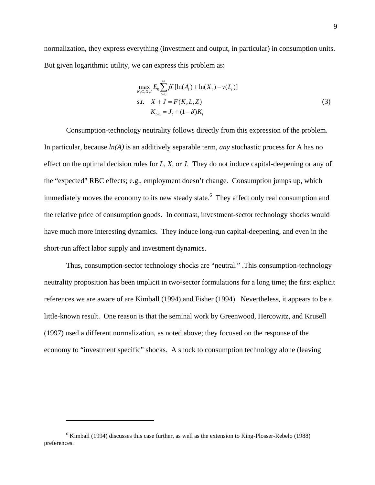normalization, they express everything (investment and output, in particular) in consumption units. But given logarithmic utility, we can express this problem as:

$$
\max_{N,C,X,I} E_0 \sum_{t=0}^{\infty} \beta^t [\ln(A_t) + \ln(X_t) - \nu(L_t)]
$$
  
s.t.  $X + J = F(K, L, Z)$   
 $K_{t+1} = J_t + (1 - \delta)K_t$  (3)

Consumption-technology neutrality follows directly from this expression of the problem. In particular, because *ln(A)* is an additively separable term, *any* stochastic process for A has no effect on the optimal decision rules for *L*, *X,* or *J*. They do not induce capital-deepening or any of the "expected" RBC effects; e.g., employment doesn't change. Consumption jumps up, which immediately moves the economy to its new steady state.<sup>6</sup> They affect only real consumption and the relative price of consumption goods. In contrast, investment-sector technology shocks would have much more interesting dynamics. They induce long-run capital-deepening, and even in the short-run affect labor supply and investment dynamics.

Thus, consumption-sector technology shocks are "neutral." .This consumption-technology neutrality proposition has been implicit in two-sector formulations for a long time; the first explicit references we are aware of are Kimball (1994) and Fisher (1994). Nevertheless, it appears to be a little-known result. One reason is that the seminal work by Greenwood, Hercowitz, and Krusell (1997) used a different normalization, as noted above; they focused on the response of the economy to "investment specific" shocks. A shock to consumption technology alone (leaving

 $6$  Kimball (1994) discusses this case further, as well as the extension to King-Plosser-Rebelo (1988) preferences.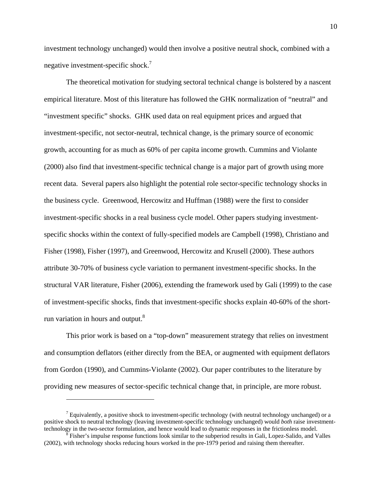investment technology unchanged) would then involve a positive neutral shock, combined with a negative investment-specific shock.<sup>7</sup>

The theoretical motivation for studying sectoral technical change is bolstered by a nascent empirical literature. Most of this literature has followed the GHK normalization of "neutral" and "investment specific" shocks. GHK used data on real equipment prices and argued that investment-specific, not sector-neutral, technical change, is the primary source of economic growth, accounting for as much as 60% of per capita income growth. Cummins and Violante (2000) also find that investment-specific technical change is a major part of growth using more recent data. Several papers also highlight the potential role sector-specific technology shocks in the business cycle. Greenwood, Hercowitz and Huffman (1988) were the first to consider investment-specific shocks in a real business cycle model. Other papers studying investmentspecific shocks within the context of fully-specified models are Campbell (1998), Christiano and Fisher (1998), Fisher (1997), and Greenwood, Hercowitz and Krusell (2000). These authors attribute 30-70% of business cycle variation to permanent investment-specific shocks. In the structural VAR literature, Fisher (2006), extending the framework used by Gali (1999) to the case of investment-specific shocks, finds that investment-specific shocks explain 40-60% of the shortrun variation in hours and output.<sup>8</sup>

This prior work is based on a "top-down" measurement strategy that relies on investment and consumption deflators (either directly from the BEA, or augmented with equipment deflators from Gordon (1990), and Cummins-Violante (2002). Our paper contributes to the literature by providing new measures of sector-specific technical change that, in principle, are more robust.

 $<sup>7</sup>$  Equivalently, a positive shock to investment-specific technology (with neutral technology unchanged) or a</sup> positive shock to neutral technology (leaving investment-specific technology unchanged) would *both* raise investmenttechnology in the two-sector formulation, and hence would lead to dynamic responses in the frictionless model. 8

Fisher's impulse response functions look similar to the subperiod results in Gali, Lopez-Salido, and Valles (2002), with technology shocks reducing hours worked in the pre-1979 period and raising them thereafter.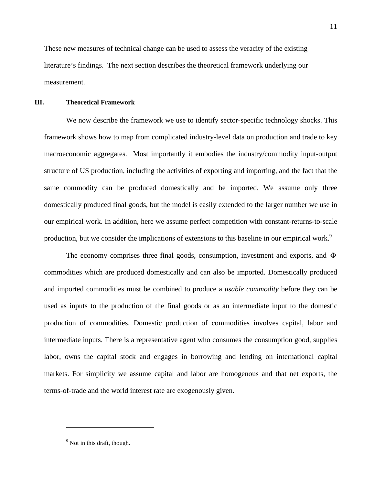These new measures of technical change can be used to assess the veracity of the existing literature's findings. The next section describes the theoretical framework underlying our measurement.

#### **III. Theoretical Framework**

We now describe the framework we use to identify sector-specific technology shocks. This framework shows how to map from complicated industry-level data on production and trade to key macroeconomic aggregates. Most importantly it embodies the industry/commodity input-output structure of US production, including the activities of exporting and importing, and the fact that the same commodity can be produced domestically and be imported. We assume only three domestically produced final goods, but the model is easily extended to the larger number we use in our empirical work. In addition, here we assume perfect competition with constant-returns-to-scale production, but we consider the implications of extensions to this baseline in our empirical work.<sup>9</sup>

The economy comprises three final goods, consumption, investment and exports, and Φ commodities which are produced domestically and can also be imported. Domestically produced and imported commodities must be combined to produce a *usable commodity* before they can be used as inputs to the production of the final goods or as an intermediate input to the domestic production of commodities. Domestic production of commodities involves capital, labor and intermediate inputs. There is a representative agent who consumes the consumption good, supplies labor, owns the capital stock and engages in borrowing and lending on international capital markets. For simplicity we assume capital and labor are homogenous and that net exports, the terms-of-trade and the world interest rate are exogenously given.

1

 $9^9$  Not in this draft, though.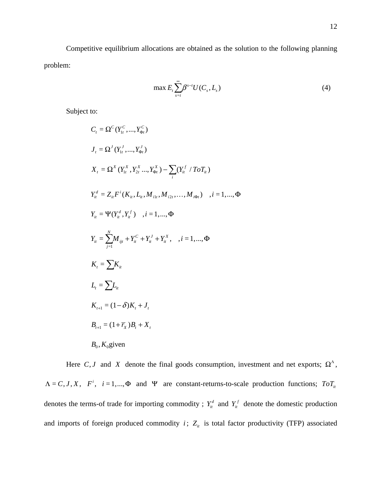Competitive equilibrium allocations are obtained as the solution to the following planning problem:

$$
\max E_{t} \sum_{s=t}^{\infty} \beta^{s-t} U(C_{s}, L_{s})
$$
\n(4)

Subject to:

$$
C_{t} = \Omega^{C}(Y_{1t}^{C},...,Y_{\Phi t}^{C})
$$
\n
$$
J_{t} = \Omega^{J}(Y_{1t}^{J},...,Y_{\Phi t}^{J})
$$
\n
$$
X_{t} = \Omega^{X}(Y_{1t}^{X}, Y_{2t}^{X}..., Y_{\Phi t}^{X}) - \sum_{i} (Y_{i t}^{f} / ToT_{i t})
$$
\n
$$
Y_{i t}^{d} = Z_{i t} F^{i} (K_{i t}, L_{i t}, M_{i t t}, M_{i 2 t}, ..., M_{i \Phi t}) , i = 1, ..., \Phi
$$
\n
$$
Y_{i t} = \Psi(Y_{i t}^{d}, Y_{i t}^{f}) , i = 1, ..., \Phi
$$
\n
$$
Y_{i t} = \sum_{j=1}^{N} M_{i j t} + Y_{i t}^{C} + Y_{i t}^{J} + Y_{i t}^{X}, i = 1, ..., \Phi
$$
\n
$$
K_{t} = \sum_{j=1}^{N} K_{i t}
$$
\n
$$
L_{t} = \sum_{t} L_{i t}
$$
\n
$$
K_{t+1} = (1 - \delta) K_{t} + J_{t}
$$
\n
$$
B_{0}, K_{0} \text{ given}
$$

Here *C*, *J* and *X* denote the final goods consumption, investment and net exports;  $\Omega^{\Lambda}$ ,  $\Lambda = C, J, X, F^{i}$ ,  $i = 1,..., \Phi$  and Ψ are constant-returns-to-scale production functions;  $ToT_{i}$ denotes the terms-of trade for importing commodity ;  $Y_i^d$  and  $Y_i^f$  denote the domestic production and imports of foreign produced commodity  $i$ ;  $Z_{it}$  is total factor productivity (TFP) associated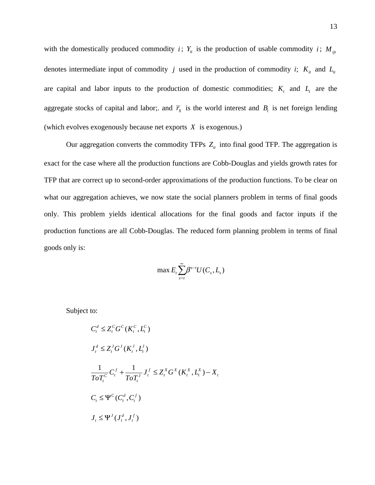with the domestically produced commodity *i*;  $Y_i$  is the production of usable commodity *i*;  $M_{ijt}$ denotes intermediate input of commodity *j* used in the production of commodity *i*;  $K_{it}$  and  $L_{it}$ are capital and labor inputs to the production of domestic commodities;  $K<sub>t</sub>$  and  $L<sub>t</sub>$  are the aggregate stocks of capital and labor;. and  $\overline{r}_x$  is the world interest and  $B_t$  is net foreign lending (which evolves exogenously because net exports *X* is exogenous.)

Our aggregation converts the commodity TFPs  $Z_{it}$  into final good TFP. The aggregation is exact for the case where all the production functions are Cobb-Douglas and yields growth rates for TFP that are correct up to second-order approximations of the production functions. To be clear on what our aggregation achieves, we now state the social planners problem in terms of final goods only. This problem yields identical allocations for the final goods and factor inputs if the production functions are all Cobb-Douglas. The reduced form planning problem in terms of final goods only is:

$$
\max E_{t} \sum_{s=t}^{\infty} \beta^{s-t} U(C_{s}, L_{s})
$$

Subject to:

$$
C_t^d \le Z_t^C G^C(K_t^C, L_t^C)
$$
  
\n
$$
J_t^d \le Z_t^J G^J(K_t^J, L_t^J)
$$
  
\n
$$
\frac{1}{ToT_t^C} C_t^f + \frac{1}{ToT_t^J} J_t^f \le Z_t^X G^X(K_t^X, L_t^X) - X_t
$$
  
\n
$$
C_t \le \Psi^C(C_t^d, C_t^f)
$$
  
\n
$$
J_t \le \Psi^J(J_t^d, J_t^f)
$$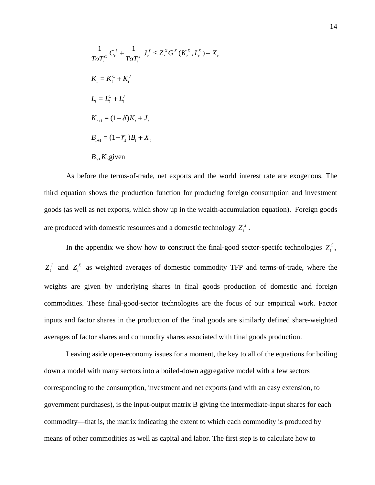$$
\frac{1}{ToT_t^C}C_t^f + \frac{1}{ToT_t^J}J_t^f \le Z_t^XG^X(K_t^X, L_t^X) - X_t
$$
  
\n
$$
K_t = K_t^C + K_t^J
$$
  
\n
$$
K_{t+1} = (1 - \delta)K_t + J_t
$$
  
\n
$$
B_{t+1} = (1 + \overline{r}_X)B_t + X_t
$$
  
\n
$$
B_0, K_0 \text{given}
$$

As before the terms-of-trade, net exports and the world interest rate are exogenous. The third equation shows the production function for producing foreign consumption and investment goods (as well as net exports, which show up in the wealth-accumulation equation). Foreign goods are produced with domestic resources and a domestic technology  $Z_t^X$ .

In the appendix we show how to construct the final-good sector-specifc technologies  $Z_t^C$ ,  $Z_t^J$  and  $Z_t^X$  as weighted averages of domestic commodity TFP and terms-of-trade, where the weights are given by underlying shares in final goods production of domestic and foreign commodities. These final-good-sector technologies are the focus of our empirical work. Factor inputs and factor shares in the production of the final goods are similarly defined share-weighted averages of factor shares and commodity shares associated with final goods production.

Leaving aside open-economy issues for a moment, the key to all of the equations for boiling down a model with many sectors into a boiled-down aggregative model with a few sectors corresponding to the consumption, investment and net exports (and with an easy extension, to government purchases), is the input-output matrix B giving the intermediate-input shares for each commodity—that is, the matrix indicating the extent to which each commodity is produced by means of other commodities as well as capital and labor. The first step is to calculate how to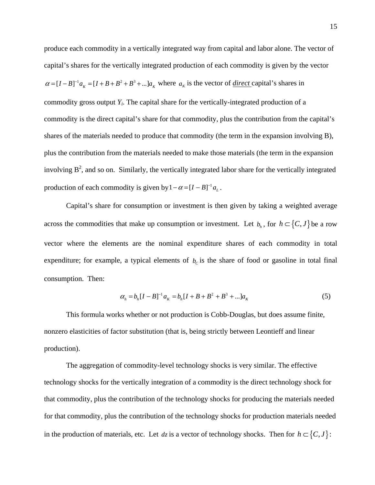produce each commodity in a vertically integrated way from capital and labor alone. The vector of capital's shares for the vertically integrated production of each commodity is given by the vector  $\alpha = [I - B]^{-1} a_K = [I + B + B^2 + B^3 + \dots] a_K$  where  $a_K$  is the vector of <u>direct</u> capital's shares in commodity gross output *Yi*. The capital share for the vertically-integrated production of a commodity is the direct capital's share for that commodity, plus the contribution from the capital's shares of the materials needed to produce that commodity (the term in the expansion involving B), plus the contribution from the materials needed to make those materials (the term in the expansion involving  $B^2$ , and so on. Similarly, the vertically integrated labor share for the vertically integrated production of each commodity is given by  $1 - \alpha = [I - B]^{-1} a_L$ .

Capital's share for consumption or investment is then given by taking a weighted average across the commodities that make up consumption or investment. Let  $b_h$ , for  $h \subset \{C, J\}$  be a row vector where the elements are the nominal expenditure shares of each commodity in total expenditure; for example, a typical elements of  $b<sub>c</sub>$  is the share of food or gasoline in total final consumption. Then:

$$
\alpha_h = b_h [I - B]^{-1} a_K = b_h [I + B + B^2 + B^3 + \dots] a_K \tag{5}
$$

This formula works whether or not production is Cobb-Douglas, but does assume finite, nonzero elasticities of factor substitution (that is, being strictly between Leontieff and linear production).

The aggregation of commodity-level technology shocks is very similar. The effective technology shocks for the vertically integration of a commodity is the direct technology shock for that commodity, plus the contribution of the technology shocks for producing the materials needed for that commodity, plus the contribution of the technology shocks for production materials needed in the production of materials, etc. Let  $dz$  is a vector of technology shocks. Then for  $h \subset \{C, J\}$ :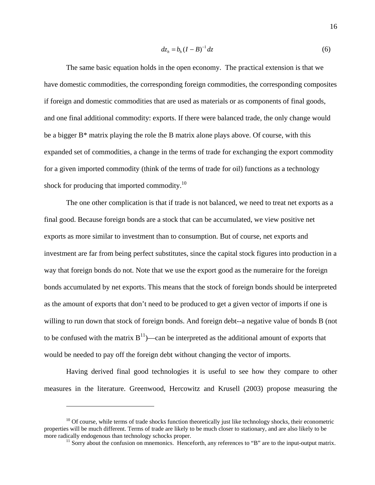$$
dz_h = b_h (I - B)^{-1} dz \tag{6}
$$

The same basic equation holds in the open economy. The practical extension is that we have domestic commodities, the corresponding foreign commodities, the corresponding composites if foreign and domestic commodities that are used as materials or as components of final goods, and one final additional commodity: exports. If there were balanced trade, the only change would be a bigger B\* matrix playing the role the B matrix alone plays above. Of course, with this expanded set of commodities, a change in the terms of trade for exchanging the export commodity for a given imported commodity (think of the terms of trade for oil) functions as a technology shock for producing that imported commodity.<sup>10</sup>

The one other complication is that if trade is not balanced, we need to treat net exports as a final good. Because foreign bonds are a stock that can be accumulated, we view positive net exports as more similar to investment than to consumption. But of course, net exports and investment are far from being perfect substitutes, since the capital stock figures into production in a way that foreign bonds do not. Note that we use the export good as the numeraire for the foreign bonds accumulated by net exports. This means that the stock of foreign bonds should be interpreted as the amount of exports that don't need to be produced to get a given vector of imports if one is willing to run down that stock of foreign bonds. And foreign debt--a negative value of bonds B (not to be confused with the matrix  $B<sup>11</sup>$ —can be interpreted as the additional amount of exports that would be needed to pay off the foreign debt without changing the vector of imports.

Having derived final good technologies it is useful to see how they compare to other measures in the literature. Greenwood, Hercowitz and Krusell (2003) propose measuring the

1

 $10$  Of course, while terms of trade shocks function theoretically just like technology shocks, their econometric properties will be much different. Terms of trade are likely to be much closer to stationary, and are also likely to be more radically endogenous than technology schocks proper.<br><sup>11</sup> Sorry about the confusion on mnemonics. Henceforth, any references to "B" are to the input-output matrix.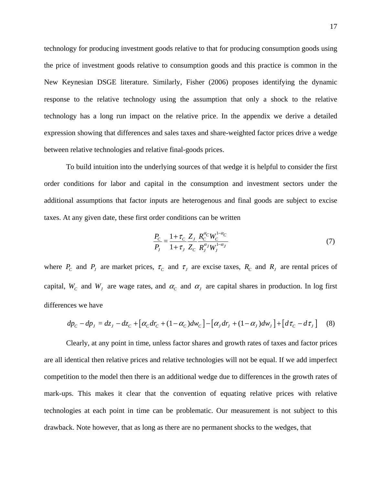technology for producing investment goods relative to that for producing consumption goods using the price of investment goods relative to consumption goods and this practice is common in the New Keynesian DSGE literature. Similarly, Fisher (2006) proposes identifying the dynamic response to the relative technology using the assumption that only a shock to the relative technology has a long run impact on the relative price. In the appendix we derive a detailed expression showing that differences and sales taxes and share-weighted factor prices drive a wedge between relative technologies and relative final-goods prices.

To build intuition into the underlying sources of that wedge it is helpful to consider the first order conditions for labor and capital in the consumption and investment sectors under the additional assumptions that factor inputs are heterogenous and final goods are subject to excise taxes. At any given date, these first order conditions can be written

$$
\frac{P_C}{P_J} = \frac{1 + \tau_C}{1 + \tau_J} \frac{Z_J}{Z_C} \frac{R_C^{\alpha_C} W_C^{1 - \alpha_C}}{R_J^{\alpha_J} W_J^{1 - \alpha_J}}
$$
(7)

where  $P_c$  and  $P_j$  are market prices,  $\tau_c$  and  $\tau_j$  are excise taxes,  $R_c$  and  $R_j$  are rental prices of capital,  $W_c$  and  $W_J$  are wage rates, and  $\alpha_c$  and  $\alpha_J$  are capital shares in production. In log first differences we have

$$
dp_C - dp_J = dz_J - dz_C + [\alpha_C dr_C + (1 - \alpha_C)dw_C] - [\alpha_J dr_J + (1 - \alpha_J)dw_J] + [d\tau_C - d\tau_J]
$$
 (8)

Clearly, at any point in time, unless factor shares and growth rates of taxes and factor prices are all identical then relative prices and relative technologies will not be equal. If we add imperfect competition to the model then there is an additional wedge due to differences in the growth rates of mark-ups. This makes it clear that the convention of equating relative prices with relative technologies at each point in time can be problematic. Our measurement is not subject to this drawback. Note however, that as long as there are no permanent shocks to the wedges, that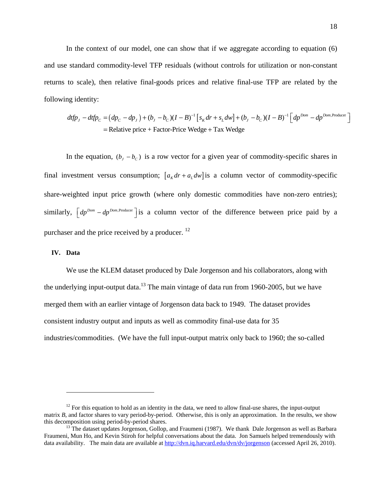In the context of our model, one can show that if we aggregate according to equation (6) and use standard commodity-level TFP residuals (without controls for utilization or non-constant returns to scale), then relative final-goods prices and relative final-use TFP are related by the following identity:

$$
dtfp_J - dtfp_C = (dp_C - dp_J) + (b_J - b_C)(I - B)^{-1} \left[ s_K dr + s_L dw \right] + (b_J - b_C)(I - B)^{-1} \left[ dp^{Dom} - dp^{Dom, Producer} \right]
$$
  
= Relative price + Factor-Price Wedge + Tax Wedge

In the equation,  $(b_J - b_c)$  is a row vector for a given year of commodity-specific shares in final investment versus consumption;  $[a<sub>K</sub> dr + a<sub>L</sub> dw]$  is a column vector of commodity-specific share-weighted input price growth (where only domestic commodities have non-zero entries); similarly,  $\left[dp^{Dom} - dp^{Dom,Producer}\right]$  is a column vector of the difference between price paid by a purchaser and the price received by a producer.<sup>12</sup>

#### **IV. Data**

<u>.</u>

We use the KLEM dataset produced by Dale Jorgenson and his collaborators, along with the underlying input-output data.<sup>13</sup> The main vintage of data run from 1960-2005, but we have merged them with an earlier vintage of Jorgenson data back to 1949. The dataset provides consistent industry output and inputs as well as commodity final-use data for 35 industries/commodities. (We have the full input-output matrix only back to 1960; the so-called

 $12$  For this equation to hold as an identity in the data, we need to allow final-use shares, the input-output matrix *B*, and factor shares to vary period-by-period. Otherwise, this is only an approximation. In the results, we show this decomposition using period-by-period shares.<br><sup>13</sup> The dataset updates Jorgenson, Gollop, and Fraumeni (1987). We thank Dale Jorgenson as well as Barbara

Fraumeni, Mun Ho, and Kevin Stiroh for helpful conversations about the data. Jon Samuels helped tremendously with data availability. The main data are available at http://dvn.iq.harvard.edu/dvn/dv/jorgenson (accessed April 26, 2010).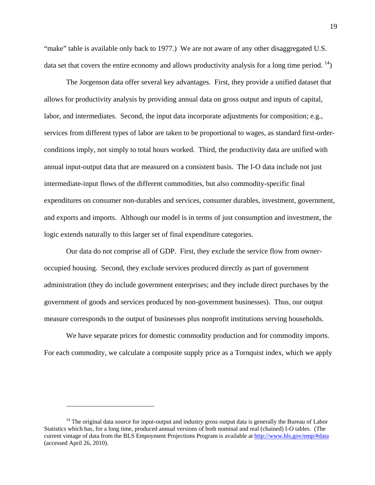"make" table is available only back to 1977.) We are not aware of any other disaggregated U.S. data set that covers the entire economy and allows productivity analysis for a long time period.  $\binom{14}{1}$ 

The Jorgenson data offer several key advantages. First, they provide a unified dataset that allows for productivity analysis by providing annual data on gross output and inputs of capital, labor, and intermediates. Second, the input data incorporate adjustments for composition; e.g., services from different types of labor are taken to be proportional to wages, as standard first-orderconditions imply, not simply to total hours worked. Third, the productivity data are unified with annual input-output data that are measured on a consistent basis. The I-O data include not just intermediate-input flows of the different commodities, but also commodity-specific final expenditures on consumer non-durables and services, consumer durables, investment, government, and exports and imports. Although our model is in terms of just consumption and investment, the logic extends naturally to this larger set of final expenditure categories.

Our data do not comprise all of GDP. First, they exclude the service flow from owneroccupied housing. Second, they exclude services produced directly as part of government administration (they do include government enterprises; and they include direct purchases by the government of goods and services produced by non-government businesses). Thus, our output measure corresponds to the output of businesses plus nonprofit institutions serving households.

We have separate prices for domestic commodity production and for commodity imports. For each commodity, we calculate a composite supply price as a Tornquist index, which we apply

<sup>&</sup>lt;sup>14</sup> The original data source for input-output and industry gross output data is generally the Bureau of Labor Statistics which has, for a long time, produced annual versions of both nominal and real (chained) I-O tables. (The current vintage of data from the BLS Empoyment Projections Program is available at http://www.bls.gov/emp/#data (accessed April 26, 2010).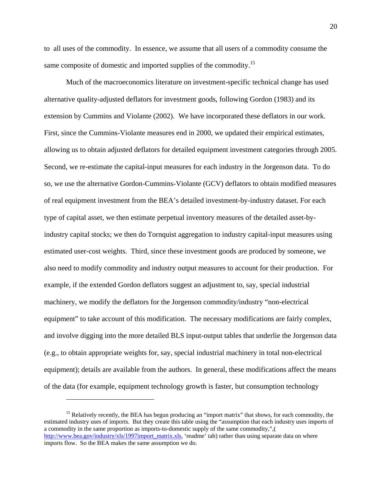to all uses of the commodity. In essence, we assume that all users of a commodity consume the same composite of domestic and imported supplies of the commodity.<sup>15</sup>

Much of the macroeconomics literature on investment-specific technical change has used alternative quality-adjusted deflators for investment goods, following Gordon (1983) and its extension by Cummins and Violante (2002). We have incorporated these deflators in our work. First, since the Cummins-Violante measures end in 2000, we updated their empirical estimates, allowing us to obtain adjusted deflators for detailed equipment investment categories through 2005. Second, we re-estimate the capital-input measures for each industry in the Jorgenson data. To do so, we use the alternative Gordon-Cummins-Violante (GCV) deflators to obtain modified measures of real equipment investment from the BEA's detailed investment-by-industry dataset. For each type of capital asset, we then estimate perpetual inventory measures of the detailed asset-byindustry capital stocks; we then do Tornquist aggregation to industry capital-input measures using estimated user-cost weights. Third, since these investment goods are produced by someone, we also need to modify commodity and industry output measures to account for their production. For example, if the extended Gordon deflators suggest an adjustment to, say, special industrial machinery, we modify the deflators for the Jorgenson commodity/industry "non-electrical equipment" to take account of this modification. The necessary modifications are fairly complex, and involve digging into the more detailed BLS input-output tables that underlie the Jorgenson data (e.g., to obtain appropriate weights for, say, special industrial machinery in total non-electrical equipment); details are available from the authors. In general, these modifications affect the means of the data (for example, equipment technology growth is faster, but consumption technology

<sup>&</sup>lt;sup>15</sup> Relatively recently, the BEA has begun producing an "import matrix" that shows, for each commodity, the estimated industry uses of imports. But they create this table using the "assumption that each industry uses imports of a commodity in the same proportion as imports-to-domestic supply of the same commodity,",( http://www.bea.gov/industry/xls/1997import\_matrix.xls, 'readme' tab) rather than using separate data on where imports flow. So the BEA makes the same assumption we do.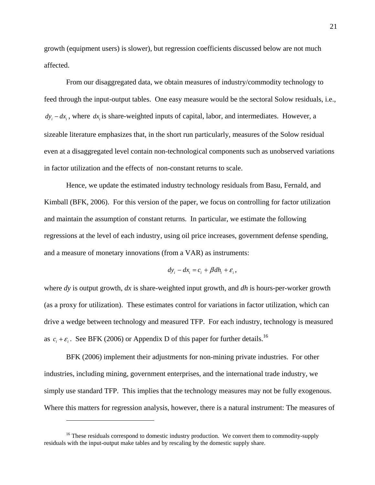growth (equipment users) is slower), but regression coefficients discussed below are not much affected.

From our disaggregated data, we obtain measures of industry/commodity technology to feed through the input-output tables. One easy measure would be the sectoral Solow residuals, i.e.,  $dy_i - dx_i$ , where  $dx_i$  is share-weighted inputs of capital, labor, and intermediates. However, a sizeable literature emphasizes that, in the short run particularly, measures of the Solow residual even at a disaggregated level contain non-technological components such as unobserved variations in factor utilization and the effects of non-constant returns to scale.

Hence, we update the estimated industry technology residuals from Basu, Fernald, and Kimball (BFK, 2006). For this version of the paper, we focus on controlling for factor utilization and maintain the assumption of constant returns. In particular, we estimate the following regressions at the level of each industry, using oil price increases, government defense spending, and a measure of monetary innovations (from a VAR) as instruments:

$$
dy_i - dx_i = c_i + \beta dh_i + \varepsilon_i,
$$

where *dy* is output growth, *dx* is share-weighted input growth, and *dh* is hours-per-worker growth (as a proxy for utilization). These estimates control for variations in factor utilization, which can drive a wedge between technology and measured TFP. For each industry, technology is measured as  $c_i + \varepsilon_i$ . See BFK (2006) or Appendix D of this paper for further details.<sup>16</sup>

BFK (2006) implement their adjustments for non-mining private industries. For other industries, including mining, government enterprises, and the international trade industry, we simply use standard TFP. This implies that the technology measures may not be fully exogenous. Where this matters for regression analysis, however, there is a natural instrument: The measures of

 $16$  These residuals correspond to domestic industry production. We convert them to commodity-supply residuals with the input-output make tables and by rescaling by the domestic supply share.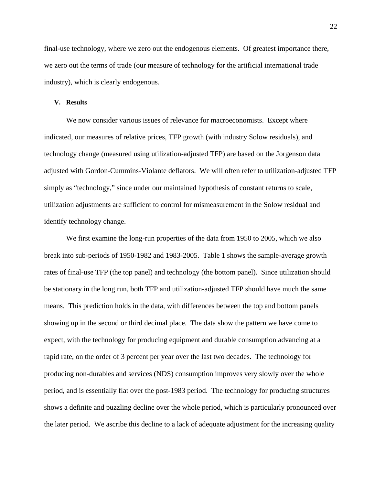final-use technology, where we zero out the endogenous elements. Of greatest importance there, we zero out the terms of trade (our measure of technology for the artificial international trade industry), which is clearly endogenous.

#### **V. Results**

We now consider various issues of relevance for macroeconomists. Except where indicated, our measures of relative prices, TFP growth (with industry Solow residuals), and technology change (measured using utilization-adjusted TFP) are based on the Jorgenson data adjusted with Gordon-Cummins-Violante deflators. We will often refer to utilization-adjusted TFP simply as "technology," since under our maintained hypothesis of constant returns to scale, utilization adjustments are sufficient to control for mismeasurement in the Solow residual and identify technology change.

We first examine the long-run properties of the data from 1950 to 2005, which we also break into sub-periods of 1950-1982 and 1983-2005. Table 1 shows the sample-average growth rates of final-use TFP (the top panel) and technology (the bottom panel). Since utilization should be stationary in the long run, both TFP and utilization-adjusted TFP should have much the same means. This prediction holds in the data, with differences between the top and bottom panels showing up in the second or third decimal place. The data show the pattern we have come to expect, with the technology for producing equipment and durable consumption advancing at a rapid rate, on the order of 3 percent per year over the last two decades. The technology for producing non-durables and services (NDS) consumption improves very slowly over the whole period, and is essentially flat over the post-1983 period. The technology for producing structures shows a definite and puzzling decline over the whole period, which is particularly pronounced over the later period. We ascribe this decline to a lack of adequate adjustment for the increasing quality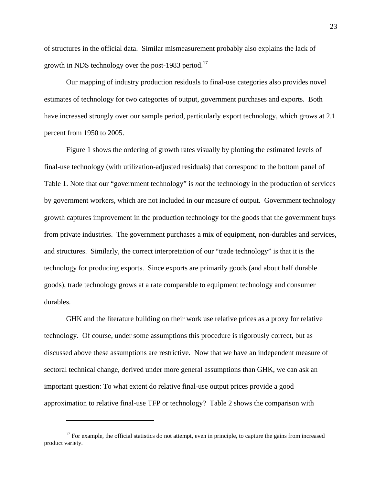of structures in the official data. Similar mismeasurement probably also explains the lack of growth in NDS technology over the post-1983 period.<sup>17</sup>

Our mapping of industry production residuals to final-use categories also provides novel estimates of technology for two categories of output, government purchases and exports. Both have increased strongly over our sample period, particularly export technology, which grows at 2.1 percent from 1950 to 2005.

Figure 1 shows the ordering of growth rates visually by plotting the estimated levels of final-use technology (with utilization-adjusted residuals) that correspond to the bottom panel of Table 1. Note that our "government technology" is *not* the technology in the production of services by government workers, which are not included in our measure of output. Government technology growth captures improvement in the production technology for the goods that the government buys from private industries. The government purchases a mix of equipment, non-durables and services, and structures. Similarly, the correct interpretation of our "trade technology" is that it is the technology for producing exports. Since exports are primarily goods (and about half durable goods), trade technology grows at a rate comparable to equipment technology and consumer durables.

GHK and the literature building on their work use relative prices as a proxy for relative technology. Of course, under some assumptions this procedure is rigorously correct, but as discussed above these assumptions are restrictive. Now that we have an independent measure of sectoral technical change, derived under more general assumptions than GHK, we can ask an important question: To what extent do relative final-use output prices provide a good approximation to relative final-use TFP or technology? Table 2 shows the comparison with

 $17$  For example, the official statistics do not attempt, even in principle, to capture the gains from increased product variety.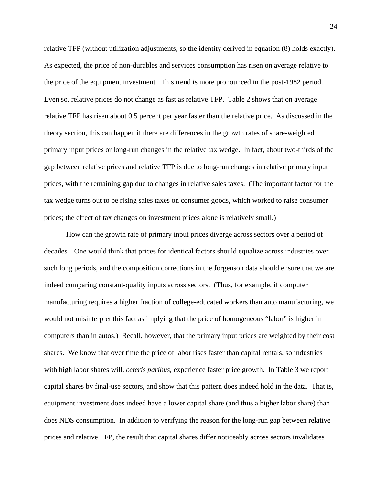relative TFP (without utilization adjustments, so the identity derived in equation (8) holds exactly). As expected, the price of non-durables and services consumption has risen on average relative to the price of the equipment investment. This trend is more pronounced in the post-1982 period. Even so, relative prices do not change as fast as relative TFP. Table 2 shows that on average relative TFP has risen about 0.5 percent per year faster than the relative price. As discussed in the theory section, this can happen if there are differences in the growth rates of share-weighted primary input prices or long-run changes in the relative tax wedge. In fact, about two-thirds of the gap between relative prices and relative TFP is due to long-run changes in relative primary input prices, with the remaining gap due to changes in relative sales taxes. (The important factor for the tax wedge turns out to be rising sales taxes on consumer goods, which worked to raise consumer prices; the effect of tax changes on investment prices alone is relatively small.)

How can the growth rate of primary input prices diverge across sectors over a period of decades? One would think that prices for identical factors should equalize across industries over such long periods, and the composition corrections in the Jorgenson data should ensure that we are indeed comparing constant-quality inputs across sectors. (Thus, for example, if computer manufacturing requires a higher fraction of college-educated workers than auto manufacturing, we would not misinterpret this fact as implying that the price of homogeneous "labor" is higher in computers than in autos.) Recall, however, that the primary input prices are weighted by their cost shares. We know that over time the price of labor rises faster than capital rentals, so industries with high labor shares will, *ceteris paribus*, experience faster price growth. In Table 3 we report capital shares by final-use sectors, and show that this pattern does indeed hold in the data. That is, equipment investment does indeed have a lower capital share (and thus a higher labor share) than does NDS consumption. In addition to verifying the reason for the long-run gap between relative prices and relative TFP, the result that capital shares differ noticeably across sectors invalidates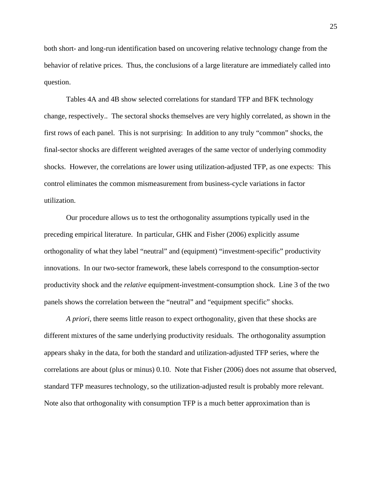both short- and long-run identification based on uncovering relative technology change from the behavior of relative prices. Thus, the conclusions of a large literature are immediately called into question.

Tables 4A and 4B show selected correlations for standard TFP and BFK technology change, respectively.. The sectoral shocks themselves are very highly correlated, as shown in the first rows of each panel. This is not surprising: In addition to any truly "common" shocks, the final-sector shocks are different weighted averages of the same vector of underlying commodity shocks. However, the correlations are lower using utilization-adjusted TFP, as one expects: This control eliminates the common mismeasurement from business-cycle variations in factor utilization.

Our procedure allows us to test the orthogonality assumptions typically used in the preceding empirical literature. In particular, GHK and Fisher (2006) explicitly assume orthogonality of what they label "neutral" and (equipment) "investment-specific" productivity innovations. In our two-sector framework, these labels correspond to the consumption-sector productivity shock and the *relative* equipment-investment-consumption shock. Line 3 of the two panels shows the correlation between the "neutral" and "equipment specific" shocks.

*A priori*, there seems little reason to expect orthogonality, given that these shocks are different mixtures of the same underlying productivity residuals. The orthogonality assumption appears shaky in the data, for both the standard and utilization-adjusted TFP series, where the correlations are about (plus or minus) 0.10. Note that Fisher (2006) does not assume that observed, standard TFP measures technology, so the utilization-adjusted result is probably more relevant. Note also that orthogonality with consumption TFP is a much better approximation than is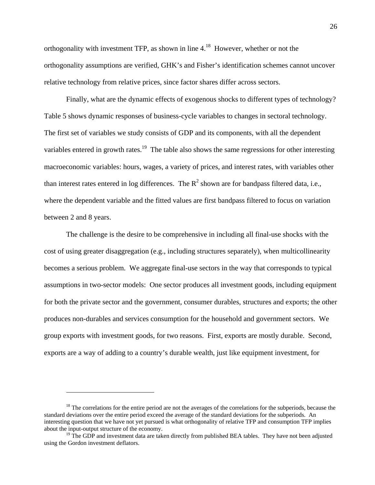orthogonality with investment TFP, as shown in line 4.18 However, whether or not the orthogonality assumptions are verified, GHK's and Fisher's identification schemes cannot uncover relative technology from relative prices, since factor shares differ across sectors.

Finally, what are the dynamic effects of exogenous shocks to different types of technology? Table 5 shows dynamic responses of business-cycle variables to changes in sectoral technology. The first set of variables we study consists of GDP and its components, with all the dependent variables entered in growth rates.<sup>19</sup> The table also shows the same regressions for other interesting macroeconomic variables: hours, wages, a variety of prices, and interest rates, with variables other than interest rates entered in log differences. The  $R^2$  shown are for bandpass filtered data, i.e., where the dependent variable and the fitted values are first bandpass filtered to focus on variation between 2 and 8 years.

The challenge is the desire to be comprehensive in including all final-use shocks with the cost of using greater disaggregation (e.g., including structures separately), when multicollinearity becomes a serious problem. We aggregate final-use sectors in the way that corresponds to typical assumptions in two-sector models: One sector produces all investment goods, including equipment for both the private sector and the government, consumer durables, structures and exports; the other produces non-durables and services consumption for the household and government sectors. We group exports with investment goods, for two reasons. First, exports are mostly durable. Second, exports are a way of adding to a country's durable wealth, just like equipment investment, for

 $18$  The correlations for the entire period are not the averages of the correlations for the subperiods, because the standard deviations over the entire period exceed the average of the standard deviations for the subperiods. An interesting question that we have not yet pursued is what orthogonality of relative TFP and consumption TFP implies about the input-output structure of the economy.

 $19$  The GDP and investment data are taken directly from published BEA tables. They have not been adjusted using the Gordon investment deflators.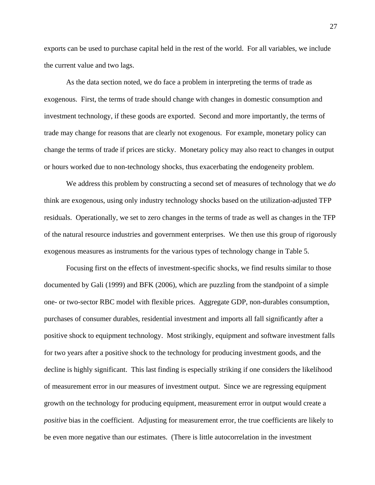exports can be used to purchase capital held in the rest of the world. For all variables, we include the current value and two lags.

As the data section noted, we do face a problem in interpreting the terms of trade as exogenous. First, the terms of trade should change with changes in domestic consumption and investment technology, if these goods are exported. Second and more importantly, the terms of trade may change for reasons that are clearly not exogenous. For example, monetary policy can change the terms of trade if prices are sticky. Monetary policy may also react to changes in output or hours worked due to non-technology shocks, thus exacerbating the endogeneity problem.

We address this problem by constructing a second set of measures of technology that we *do* think are exogenous, using only industry technology shocks based on the utilization-adjusted TFP residuals. Operationally, we set to zero changes in the terms of trade as well as changes in the TFP of the natural resource industries and government enterprises. We then use this group of rigorously exogenous measures as instruments for the various types of technology change in Table 5.

Focusing first on the effects of investment-specific shocks, we find results similar to those documented by Gali (1999) and BFK (2006), which are puzzling from the standpoint of a simple one- or two-sector RBC model with flexible prices. Aggregate GDP, non-durables consumption, purchases of consumer durables, residential investment and imports all fall significantly after a positive shock to equipment technology. Most strikingly, equipment and software investment falls for two years after a positive shock to the technology for producing investment goods, and the decline is highly significant. This last finding is especially striking if one considers the likelihood of measurement error in our measures of investment output. Since we are regressing equipment growth on the technology for producing equipment, measurement error in output would create a *positive* bias in the coefficient. Adjusting for measurement error, the true coefficients are likely to be even more negative than our estimates. (There is little autocorrelation in the investment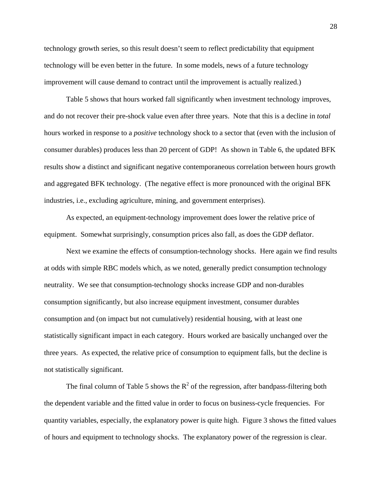technology growth series, so this result doesn't seem to reflect predictability that equipment technology will be even better in the future. In some models, news of a future technology improvement will cause demand to contract until the improvement is actually realized.)

Table 5 shows that hours worked fall significantly when investment technology improves, and do not recover their pre-shock value even after three years. Note that this is a decline in *total* hours worked in response to a *positive* technology shock to a sector that (even with the inclusion of consumer durables) produces less than 20 percent of GDP! As shown in Table 6, the updated BFK results show a distinct and significant negative contemporaneous correlation between hours growth and aggregated BFK technology. (The negative effect is more pronounced with the original BFK industries, i.e., excluding agriculture, mining, and government enterprises).

As expected, an equipment-technology improvement does lower the relative price of equipment. Somewhat surprisingly, consumption prices also fall, as does the GDP deflator.

Next we examine the effects of consumption-technology shocks. Here again we find results at odds with simple RBC models which, as we noted, generally predict consumption technology neutrality. We see that consumption-technology shocks increase GDP and non-durables consumption significantly, but also increase equipment investment, consumer durables consumption and (on impact but not cumulatively) residential housing, with at least one statistically significant impact in each category. Hours worked are basically unchanged over the three years. As expected, the relative price of consumption to equipment falls, but the decline is not statistically significant.

The final column of Table 5 shows the  $R^2$  of the regression, after bandpass-filtering both the dependent variable and the fitted value in order to focus on business-cycle frequencies. For quantity variables, especially, the explanatory power is quite high. Figure 3 shows the fitted values of hours and equipment to technology shocks. The explanatory power of the regression is clear.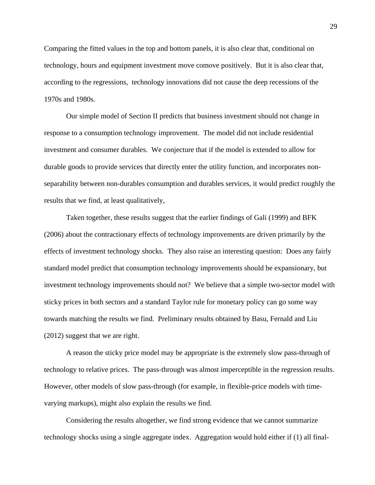Comparing the fitted values in the top and bottom panels, it is also clear that, conditional on technology, hours and equipment investment move comove positively. But it is also clear that, according to the regressions, technology innovations did not cause the deep recessions of the 1970s and 1980s.

Our simple model of Section II predicts that business investment should not change in response to a consumption technology improvement. The model did not include residential investment and consumer durables. We conjecture that if the model is extended to allow for durable goods to provide services that directly enter the utility function, and incorporates nonseparability between non-durables consumption and durables services, it would predict roughly the results that we find, at least qualitatively,

Taken together, these results suggest that the earlier findings of Gali (1999) and BFK (2006) about the contractionary effects of technology improvements are driven primarily by the effects of investment technology shocks. They also raise an interesting question: Does any fairly standard model predict that consumption technology improvements should be expansionary, but investment technology improvements should not? We believe that a simple two-sector model with sticky prices in both sectors and a standard Taylor rule for monetary policy can go some way towards matching the results we find. Preliminary results obtained by Basu, Fernald and Liu (2012) suggest that we are right.

A reason the sticky price model may be appropriate is the extremely slow pass-through of technology to relative prices. The pass-through was almost imperceptible in the regression results. However, other models of slow pass-through (for example, in flexible-price models with timevarying markups), might also explain the results we find.

Considering the results altogether, we find strong evidence that we cannot summarize technology shocks using a single aggregate index. Aggregation would hold either if (1) all final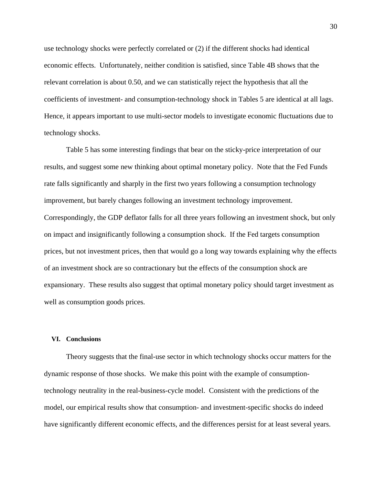use technology shocks were perfectly correlated or (2) if the different shocks had identical economic effects. Unfortunately, neither condition is satisfied, since Table 4B shows that the relevant correlation is about 0.50, and we can statistically reject the hypothesis that all the coefficients of investment- and consumption-technology shock in Tables 5 are identical at all lags. Hence, it appears important to use multi-sector models to investigate economic fluctuations due to technology shocks.

Table 5 has some interesting findings that bear on the sticky-price interpretation of our results, and suggest some new thinking about optimal monetary policy. Note that the Fed Funds rate falls significantly and sharply in the first two years following a consumption technology improvement, but barely changes following an investment technology improvement. Correspondingly, the GDP deflator falls for all three years following an investment shock, but only on impact and insignificantly following a consumption shock. If the Fed targets consumption prices, but not investment prices, then that would go a long way towards explaining why the effects of an investment shock are so contractionary but the effects of the consumption shock are expansionary. These results also suggest that optimal monetary policy should target investment as well as consumption goods prices.

#### **VI. Conclusions**

Theory suggests that the final-use sector in which technology shocks occur matters for the dynamic response of those shocks. We make this point with the example of consumptiontechnology neutrality in the real-business-cycle model. Consistent with the predictions of the model, our empirical results show that consumption- and investment-specific shocks do indeed have significantly different economic effects, and the differences persist for at least several years.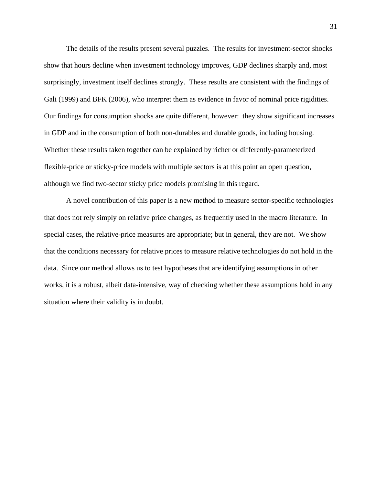The details of the results present several puzzles. The results for investment-sector shocks show that hours decline when investment technology improves, GDP declines sharply and, most surprisingly, investment itself declines strongly. These results are consistent with the findings of Gali (1999) and BFK (2006), who interpret them as evidence in favor of nominal price rigidities. Our findings for consumption shocks are quite different, however: they show significant increases in GDP and in the consumption of both non-durables and durable goods, including housing. Whether these results taken together can be explained by richer or differently-parameterized flexible-price or sticky-price models with multiple sectors is at this point an open question, although we find two-sector sticky price models promising in this regard.

A novel contribution of this paper is a new method to measure sector-specific technologies that does not rely simply on relative price changes, as frequently used in the macro literature. In special cases, the relative-price measures are appropriate; but in general, they are not. We show that the conditions necessary for relative prices to measure relative technologies do not hold in the data. Since our method allows us to test hypotheses that are identifying assumptions in other works, it is a robust, albeit data-intensive, way of checking whether these assumptions hold in any situation where their validity is in doubt.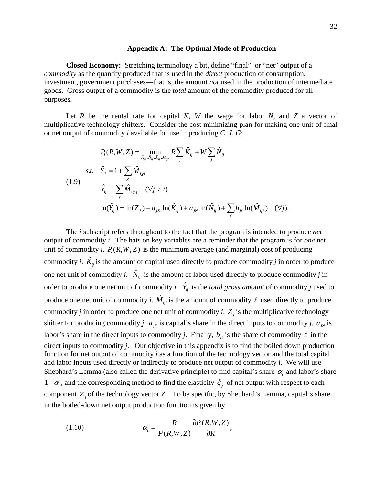#### **Appendix A: The Optimal Mode of Production**

**Closed Economy:** Stretching terminology a bit, define "final" or "net" output of a *commodity* as the quantity produced that is used in the *direct* production of consumption, investment, government purchases—that is, the amount *not* used in the production of intermediate goods. Gross output of a commodity is the *total* amount of the commodity produced for all purposes.

Let *R* be the rental rate for capital *K*, *W* the wage for labor *N*, and *Z* a vector of multiplicative technology shifters. Consider the cost minimizing plan for making one unit of final or net output of commodity *i* available for use in producing *C*, *J*, *G*:

$$
P_{i}(R, W, Z) = \min_{\hat{K}_{ij}, \hat{N}_{ij}, \hat{X}_{ij}, \hat{M}_{ij\ell}} R \sum_{j} \hat{K}_{ij} + W \sum_{j} \hat{N}_{ij}
$$
  
s.t.  $\hat{Y}_{ii} = 1 + \sum_{\chi} \hat{M}_{i\chi i}$   
(1.9)  
 $\hat{Y}_{ij} = \sum_{\chi} \hat{M}_{i\chi j} \quad (\forall j \neq i)$   
 $\ln(\hat{Y}_{ij}) = \ln(Z_j) + a_{jk} \ln(\hat{K}_{ij}) + a_{jN} \ln(\hat{N}_{ij}) + \sum_{\ell} b_{j\ell} \ln(\hat{M}_{ij\ell}) \quad (\forall j),$ 

The *i* subscript refers throughout to the fact that the program is intended to produce *net*  output of commodity *i*. The hats on key variables are a reminder that the program is for *one* net unit of commodity *i*.  $P_i(R, W, Z)$  is the minimum average (and marginal) cost of producing commodity *i*.  $\hat{K}_{ii}$  is the amount of capital used directly to produce commodity *j* in order to produce one net unit of commodity *i*.  $\hat{N}_{ii}$  is the amount of labor used directly to produce commodity *j* in order to produce one net unit of commodity *i*.  $\hat{Y}_{ij}$  is the *total gross amount* of commodity *j* used to produce one net unit of commodity *i*.  $\hat{M}_{ij\ell}$  is the amount of commodity  $\ell$  used directly to produce commodity *j* in order to produce one net unit of commodity *i*.  $Z_j$  is the multiplicative technology shifter for producing commodity *j*.  $a_{jk}$  is capital's share in the direct inputs to commodity *j*.  $a_{jk}$  is labor's share in the direct inputs to commodity *j*. Finally,  $b_{i\ell}$  is the share of commodity  $\ell$  in the direct inputs to commodity *j*. Our objective in this appendix is to find the boiled down production function for net output of commodity *i* as a function of the technology vector and the total capital and labor inputs used directly or indirectly to produce net output of commodity *i*. We will use Shephard's Lemma (also called the derivative principle) to find capital's share  $\alpha$ <sub>i</sub> and labor's share 1− $\alpha$ <sub>i</sub>, and the corresponding method to find the elasticity  $\zeta$ <sub>ij</sub> of net output with respect to each component *Z j* of the technology vector *Z*. To be specific, by Shephard's Lemma, capital's share in the boiled-down net output production function is given by

(1.10) 
$$
\alpha_i = \frac{R}{P_i(R,W,Z)} \frac{\partial P_i(R,W,Z)}{\partial R},
$$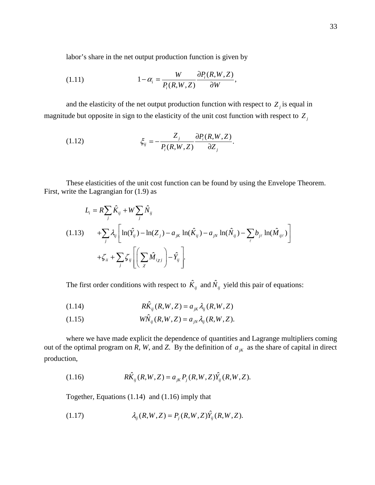labor's share in the net output production function is given by

(1.11) 
$$
1 - \alpha_i = \frac{W}{P_i(R,W,Z)} \frac{\partial P_i(R,W,Z)}{\partial W},
$$

and the elasticity of the net output production function with respect to  $Z_i$  is equal in magnitude but opposite in sign to the elasticity of the unit cost function with respect to  $Z_j$ 

(1.12) 
$$
\xi_{ij} = -\frac{Z_j}{P_i(R,W,Z)} \frac{\partial P_i(R,W,Z)}{\partial Z_j}.
$$

These elasticities of the unit cost function can be found by using the Envelope Theorem. First, write the Lagrangian for (1.9) as

$$
L_i = R \sum_j \hat{K}_{ij} + W \sum_j \hat{N}_{ij}
$$
  
(1.13) 
$$
+ \sum_j \lambda_{ij} \left[ \ln(\hat{Y}_{ij}) - \ln(Z_j) - a_{jk} \ln(\hat{K}_{ij}) - a_{jk} \ln(\hat{N}_{ij}) - \sum_{\ell} b_{j\ell} \ln(\hat{M}_{ij\ell}) \right]
$$

$$
+ \zeta_{ii} + \sum_j \zeta_{ij} \left[ \left( \sum_x \hat{M}_{ij} \right) - \hat{Y}_{ij} \right].
$$

The first order conditions with respect to  $\hat{K}_{ij}$  and  $\hat{N}_{ij}$  yield this pair of equations:

$$
(1.14) \t\t R\hat{K}_{ij}(R,W,Z) = a_{jk}\lambda_{ij}(R,W,Z)
$$

(1.15) 
$$
W\hat{N}_{ij}(R,W,Z) = a_{jN}\lambda_{ij}(R,W,Z).
$$

where we have made explicit the dependence of quantities and Lagrange multipliers coming out of the optimal program on  $\overline{R}$ ,  $W$ , and  $Z$ . By the definition of  $a_{jk}$  as the share of capital in direct production,

(1.16) 
$$
R\hat{K}_{ij}(R,W,Z) = a_{jk}P_j(R,W,Z)\hat{Y}_{ij}(R,W,Z).
$$

Together, Equations (1.14) and (1.16) imply that

(1.17) 
$$
\lambda_{ij}(R,W,Z) = P_j(R,W,Z)\hat{Y}_{ij}(R,W,Z).
$$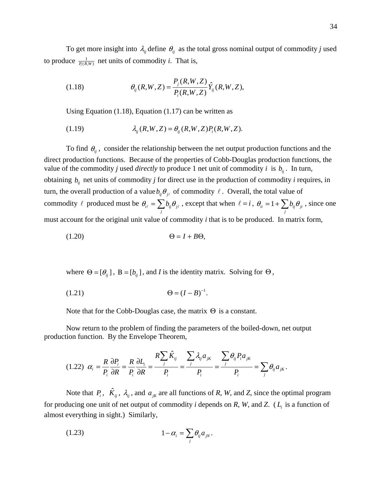To get more insight into  $\lambda_{ij}$  define  $\theta_{ij}$  as the total gross nominal output of commodity *j* used to produce  $\frac{1}{P_i(R,W)}$  net units of commodity *i*. That is,

(1.18) 
$$
\theta_{ij}(R,W,Z) = \frac{P_j(R,W,Z)}{P_i(R,W,Z)} \hat{Y}_{ij}(R,W,Z),
$$

Using Equation (1.18), Equation (1.17) can be written as

$$
(1.19) \qquad \qquad \lambda_{ij}(R,W,Z) = \theta_{ij}(R,W,Z)P_i(R,W,Z).
$$

To find  $\theta_{ij}$ , consider the relationship between the net output production functions and the direct production functions. Because of the properties of Cobb-Douglas production functions, the value of the commodity *j* used *directly* to produce 1 net unit of commodity *i* is  $b_{ii}$ . In turn, obtaining  $b_{ij}$  net units of commodity *j* for direct use in the production of commodity *i* requires, in turn, the overall production of a value  $b_{ij}$   $\theta_{i\ell}$  of commodity  $\ell$ . Overall, the total value of commodity  $\ell$  produced must be  $\theta_{i\ell} = \sum b_{ij} \theta_j$  $\theta_{i\ell} = \sum_j b_{ij} \theta_{j\ell}$ , except that when  $\ell = i$ ,  $\theta_{ii} = 1 + \sum_j b_{ij} \theta_{ji}$ , since one must account for the original unit value of commodity *i* that is to be produced. In matrix form,

$$
(1.20) \qquad \qquad \Theta = I + B\Theta,
$$

where  $\Theta = [\theta_{ij}]$ ,  $B = [b_{ij}]$ , and *I* is the identity matrix. Solving for  $\Theta$ ,

(1.21) 
$$
\Theta = (I - B)^{-1}.
$$

Note that for the Cobb-Douglas case, the matrix  $\Theta$  is a constant.

Now return to the problem of finding the parameters of the boiled-down, net output production function. By the Envelope Theorem,

$$
(1.22) \ \alpha_i = \frac{R}{P_i} \frac{\partial P_i}{\partial R} = \frac{R}{P_i} \frac{\partial L_i}{\partial R} = \frac{R \sum_j \hat{K}_{ij}}{P_i} = \frac{\sum_j \lambda_{ij} a_{jk}}{P_i} = \frac{\sum_j \theta_{ij} P_i a_{jk}}{P_i} = \sum_j \theta_{ij} a_{jk}.
$$

Note that  $P_i$ ,  $\hat{K}_{ij}$ ,  $\lambda_{ij}$ , and  $a_{jk}$  are all functions of *R*, *W*, and *Z*, since the optimal program for producing one unit of net output of commodity *i* depends on  $R$ ,  $W$ , and  $Z$ . ( $L<sub>i</sub>$  is a function of almost everything in sight.) Similarly,

$$
(1.23) \t\t 1 - \alpha_i = \sum_j \theta_{ij} a_{jN}.
$$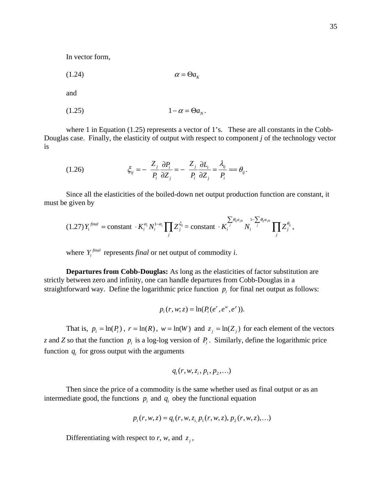In vector form,

$$
\alpha = \Theta a_{K}
$$

and

$$
(1.25) \t\t 1 - \alpha = \Theta a_N.
$$

where 1 in Equation (1.25) represents a vector of 1's. These are all constants in the Cobb-Douglas case. Finally, the elasticity of output with respect to component *j* of the technology vector is

(1.26) 
$$
\xi_{ij} = -\frac{Z_j}{P_i} \frac{\partial P_i}{\partial Z_j} = -\frac{Z_j}{P_i} \frac{\partial L_i}{\partial Z_j} = \frac{\lambda_{ij}}{P_i} = \theta_{ij}.
$$

Since all the elasticities of the boiled-down net output production function are constant, it must be given by

$$
(1.27)Y_i^{final} = \text{constant} \cdot K_i^{\alpha_i} N_i^{1-\alpha_i} \prod_j Z_j^{\xi_{ij}} = \text{constant} \cdot K_i^{\sum_j \theta_{ij} a_{jN}} N_i^{\sum_j \theta_{ij} a_{jN}} \prod_j Z_j^{\theta_{ij}},
$$

where  $Y_i^{final}$  represents *final* or net output of commodity *i*.

**Departures from Cobb-Douglas:** As long as the elasticities of factor substitution are strictly between zero and infinity, one can handle departures from Cobb-Douglas in a straightforward way. Define the logarithmic price function  $p_i$  for final net output as follows:

$$
p_i(r, w; z) = \ln(P_i(e^r, e^w, e^z)).
$$

That is,  $p_i = \ln(P_i)$ ,  $r = \ln(R)$ ,  $w = \ln(W)$  and  $z_j = \ln(Z_j)$  for each element of the vectors *z* and *Z* so that the function  $p_i$  is a log-log version of  $P_i$ . Similarly, define the logarithmic price function  $q_i$  for gross output with the arguments

$$
q_i(r, w, z_i, p_1, p_2, \ldots)
$$

Then since the price of a commodity is the same whether used as final output or as an intermediate good, the functions  $p_i$  and  $q_i$  obey the functional equation

$$
p_i(r, w, z) = q_i(r, w, z_i, p_1(r, w, z), p_2(r, w, z), ...)
$$

Differentiating with respect to *r*, *w*, and  $z_j$ ,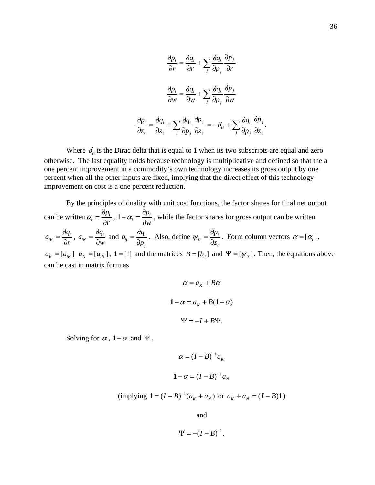$$
\frac{\partial p_i}{\partial r} = \frac{\partial q_i}{\partial r} + \sum_j \frac{\partial q_i}{\partial p_j} \frac{\partial p_j}{\partial r}
$$

$$
\frac{\partial p_i}{\partial w} = \frac{\partial q_i}{\partial w} + \sum_j \frac{\partial q_i}{\partial p_j} \frac{\partial p_j}{\partial w}
$$

$$
\frac{\partial p_i}{\partial z_\ell} = \frac{\partial q_i}{\partial z_\ell} + \sum_j \frac{\partial q_i}{\partial p_j} \frac{\partial p_j}{\partial z_\ell} = -\delta_{i\ell} + \sum_j \frac{\partial q_i}{\partial p_j} \frac{\partial p_j}{\partial z_\ell}.
$$

Where  $\delta_{i\ell}$  is the Dirac delta that is equal to 1 when its two subscripts are equal and zero otherwise. The last equality holds because technology is multiplicative and defined so that the a one percent improvement in a commodity's own technology increases its gross output by one percent when all the other inputs are fixed, implying that the direct effect of this technology improvement on cost is a one percent reduction.

By the principles of duality with unit cost functions, the factor shares for final net output can be written  $\alpha_i = \frac{dp_i}{dx_i}$ *p*  $\alpha_i = \frac{1}{\partial r}$  $=\frac{\partial p_i}{\partial r},\;1-\alpha_i=\frac{\partial p_i}{\partial w_i}$ *p*  $\alpha_i = \frac{1}{\partial w}$  $-\alpha_i = \frac{\partial p_i}{\partial w}$ , while the factor shares for gross output can be written *i iK q a*  $=\frac{\partial q_i}{\partial r}, a_{iN}=\frac{\partial q_i}{\partial w_i}$ *q a*  $=\frac{\partial q_i}{\partial w}$  and  $b_{ij} = \frac{\partial q_i}{\partial p_j}$ *j*  $b_{ii} = \frac{\partial q}{\partial x}$  $=\frac{\partial q_i}{\partial p_i}$ . Also, define  $\psi_{i\ell} = \frac{\partial p_i}{\partial z_i}$ *p*  $\Psi_{i\ell} = \frac{1}{\partial z}$  $\frac{\partial p_i}{\partial z_\ell}$ . Form column vectors  $\alpha = [\alpha_i]$ ,  $a_K = [a_{ik}]$   $a_N = [a_{ik}]$ ,  $1 = [1]$  and the matrices  $B = [b_{ij}]$  and  $\Psi = [\psi_{i\ell}]$ . Then, the equations above can be cast in matrix form as

$$
\alpha = a_{K} + B\alpha
$$
  

$$
1 - \alpha = a_{N} + B(1 - \alpha)
$$
  

$$
\Psi = -I + B\Psi.
$$

Solving for  $\alpha$ , 1– $\alpha$  and  $\Psi$ ,

$$
\alpha = (I - B)^{-1} a_K
$$
  

$$
1 - \alpha = (I - B)^{-1} a_N
$$

(implying 
$$
\mathbf{1} = (I - B)^{-1} (a_K + a_N)
$$
 or  $a_K + a_N = (I - B)\mathbf{1}$ )

and

$$
\Psi = -(I-B)^{-1}.
$$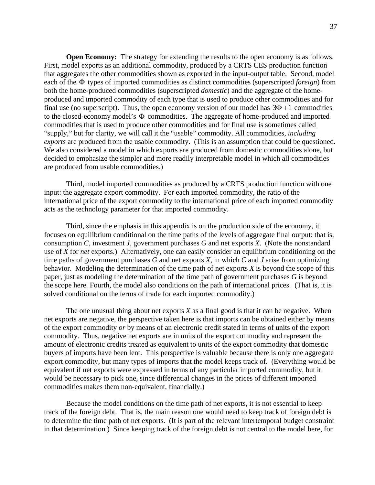**Open Economy:** The strategy for extending the results to the open economy is as follows. First, model exports as an additional commodity, produced by a CRTS CES production function that aggregates the other commodities shown as exported in the input-output table. Second, model each of the Φ types of imported commodities as distinct commodities (superscripted *foreign*) from both the home-produced commodities (superscripted *domestic*) and the aggregate of the homeproduced and imported commodity of each type that is used to produce other commodities and for final use (no superscript). Thus, the open economy version of our model has  $3\Phi + 1$  commodities to the closed-economy model's Φ commodities. The aggregate of home-produced and imported commodities that is used to produce other commodities and for final use is sometimes called "supply," but for clarity, we will call it the "usable" commodity. All commodities, *including exports* are produced from the usable commodity. (This is an assumption that could be questioned. We also considered a model in which exports are produced from domestic commodities alone, but decided to emphasize the simpler and more readily interpretable model in which all commodities are produced from usable commodities.)

Third, model imported commodities as produced by a CRTS production function with one input: the aggregate export commodity. For each imported commodity, the ratio of the international price of the export commodity to the international price of each imported commodity acts as the technology parameter for that imported commodity.

Third, since the emphasis in this appendix is on the production side of the economy, it focuses on equilibrium conditional on the time paths of the levels of aggregate final output: that is, consumption *C*, investment *J,* government purchases *G* and net exports *X*. (Note the nonstandard use of *X* for *net* exports.) Alternatively, one can easily consider an equilibrium conditioning on the time paths of government purchases *G* and net exports *X*, in which *C* and *J* arise from optimizing behavior. Modeling the determination of the time path of net exports *X* is beyond the scope of this paper, just as modeling the determination of the time path of government purchases *G* is beyond the scope here. Fourth, the model also conditions on the path of international prices. (That is, it is solved conditional on the terms of trade for each imported commodity.)

The one unusual thing about net exports *X* as a final good is that it can be negative. When net exports are negative, the perspective taken here is that imports can be obtained either by means of the export commodity *or* by means of an electronic credit stated in terms of units of the export commodity. Thus, negative net exports are in units of the export commodity and represent the amount of electronic credits treated as equivalent to units of the export commodity that domestic buyers of imports have been lent. This perspective is valuable because there is only one aggregate export commodity, but many types of imports that the model keeps track of. (Everything would be equivalent if net exports were expressed in terms of any particular imported commodity, but it would be necessary to pick one, since differential changes in the prices of different imported commodities makes them non-equivalent, financially.)

Because the model conditions on the time path of net exports, it is not essential to keep track of the foreign debt. That is, the main reason one would need to keep track of foreign debt is to determine the time path of net exports. (It is part of the relevant intertemporal budget constraint in that determination.) Since keeping track of the foreign debt is not central to the model here, for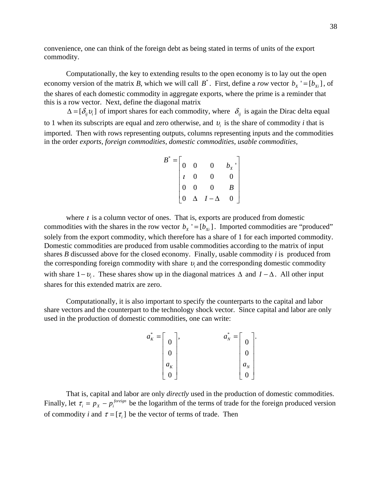convenience, one can think of the foreign debt as being stated in terms of units of the export commodity.

Computationally, the key to extending results to the open economy is to lay out the open economy version of the matrix *B*, which we will call  $B^*$ . First, define a *row* vector  $b_x = [b_{xi}]$ , of the shares of each domestic commodity in aggregate exports, where the prime is a reminder that this is a row vector. Next, define the diagonal matrix

 $\Delta = [\delta_{ii} v_i]$  of import shares for each commodity, where  $\delta_{ij}$  is again the Dirac delta equal to 1 when its subscripts are equal and zero otherwise, and  $v_i$  is the share of commodity *i* that is imported. Then with rows representing outputs, columns representing inputs and the commodities in the order *exports, foreign commodities, domestic commodities, usable commodities,* 

$$
B^* = \begin{bmatrix} 0 & 0 & 0 & b_x \\ 0 & 0 & 0 & 0 \\ t & 0 & 0 & 0 \\ 0 & 0 & 0 & B \\ 0 & \Delta & I - \Delta & 0 \end{bmatrix}
$$

where  $\iota$  is a column vector of ones. That is, exports are produced from domestic commodities with the shares in the row vector  $b_x$  '=[ $b_{xi}$ ]. Imported commodities are "produced" solely from the export commodity, which therefore has a share of 1 for each imported commodity. Domestic commodities are produced from usable commodities according to the matrix of input shares *B* discussed above for the closed economy. Finally, usable commodity *i* is produced from the corresponding foreign commodity with share <sup>υ</sup>*<sup>i</sup>* and the corresponding domestic commodity with share 1–*υ<sub>i</sub>*. These shares show up in the diagonal matrices Δ and  $I - Δ$ . All other input shares for this extended matrix are zero.

Computationally, it is also important to specify the counterparts to the capital and labor share vectors and the counterpart to the technology shock vector. Since capital and labor are only used in the production of domestic commodities, one can write:

| $\ast$<br>$\overline{\phantom{m}}$<br>$a_{\nu}$<br>л | $\overline{0}$ | *<br>$a_{N}$<br>, | $\overline{0}$ | ٠ |
|------------------------------------------------------|----------------|-------------------|----------------|---|
|                                                      | $\overline{0}$ |                   | $\overline{0}$ |   |
|                                                      | $a_{\kappa}$   |                   | $a_{N}$        |   |
|                                                      | $\overline{0}$ |                   | $\overline{0}$ |   |

That is, capital and labor are only *directly* used in the production of domestic commodities. Finally, let  $\tau_i = p_x - p_i^{foreign}$  be the logarithm of the terms of trade for the foreign produced version of commodity *i* and  $\tau = [\tau_i]$  be the vector of terms of trade. Then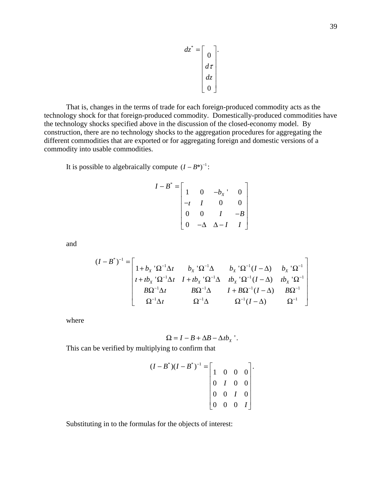$$
dz^* = \begin{bmatrix} 0 \\ 0 \\ d\tau \\ dz \\ 0 \end{bmatrix}.
$$

That is, changes in the terms of trade for each foreign-produced commodity acts as the technology shock for that foreign-produced commodity. Domestically-produced commodities have the technology shocks specified above in the discussion of the closed-economy model. By construction, there are no technology shocks to the aggregation procedures for aggregating the different commodities that are exported or for aggregating foreign and domestic versions of a commodity into usable commodities.

It is possible to algebraically compute  $(I - B^*)^{-1}$ :

$$
I - B^* = \begin{bmatrix} 1 & 0 & -b_x & 0 \\ -t & I & 0 & 0 \\ 0 & 0 & I & -B \\ 0 & -\Delta & \Delta - I & I \end{bmatrix}
$$

and

$$
(I - B^*)^{-1} = \begin{bmatrix} 1 + b_X^{-1} \Omega^{-1} \Delta t & b_X^{-1} \Omega^{-1} \Delta & b_X^{-1} \Omega^{-1} (I - \Delta) & b_X^{-1} \Omega^{-1} \\ t + t b_X^{-1} \Omega^{-1} \Delta t & I + t b_X^{-1} \Omega^{-1} \Delta & t b_X^{-1} \Omega^{-1} (I - \Delta) & t b_X^{-1} \Omega^{-1} \\ B \Omega^{-1} \Delta t & B \Omega^{-1} \Delta & I + B \Omega^{-1} (I - \Delta) & B \Omega^{-1} \\ \Omega^{-1} \Delta t & \Omega^{-1} \Delta & \Omega^{-1} (I - \Delta) & \Omega^{-1} \end{bmatrix}
$$

where

$$
\Omega = I - B + \Delta B - \Delta t b_{X}.
$$

.

This can be verified by multiplying to confirm that

$$
(I - B^*)(I - B^*)^{-1} = \begin{bmatrix} 1 & 0 & 0 & 0 \\ 0 & I & 0 & 0 \\ 0 & 0 & I & 0 \\ 0 & 0 & 0 & I \end{bmatrix}
$$

Substituting in to the formulas for the objects of interest: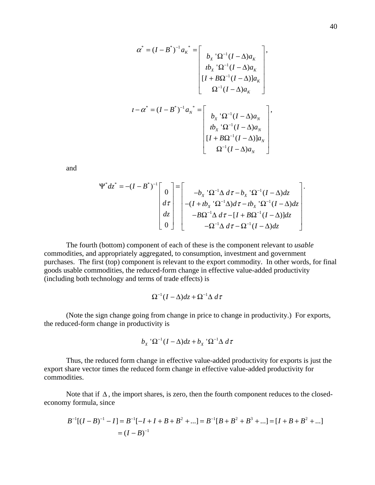$$
\alpha^* = (I - B^*)^{-1} a_K^{-*} = \begin{bmatrix} b_X^{-1} \Omega^{-1} (I - \Delta) a_K \\ i b_X^{-1} \Omega^{-1} (I - \Delta) a_K \\ [I + B \Omega^{-1} (I - \Delta) a_K \\ \Omega^{-1} (I - \Delta) a_K \end{bmatrix},
$$
  

$$
I - \alpha^* = (I - B^*)^{-1} a_N^{-*} = \begin{bmatrix} b_X^{-1} \Omega^{-1} (I - \Delta) a_N \\ i b_X^{-1} \Omega^{-1} (I - \Delta) a_N \\ [I + B \Omega^{-1} (I - \Delta) a_N \\ \Omega^{-1} (I - \Delta) a_N \end{bmatrix},
$$

and

$$
\Psi^* dz^* = -(I - B^*)^{-1} \begin{bmatrix} 0 \\ d\tau \\ dz \\ 0 \end{bmatrix} = \begin{bmatrix} -b_X^{-1} \Omega^{-1} \Delta d\tau - b_X^{-1} \Omega^{-1} (I - \Delta) dz \\ -(I + i b_X^{-1} \Omega^{-1} \Delta) d\tau - i b_X^{-1} \Omega^{-1} (I - \Delta) dz \\ -B \Omega^{-1} \Delta d\tau - [I + B \Omega^{-1} (I - \Delta)] dz \\ -\Omega^{-1} \Delta d\tau - \Omega^{-1} (I - \Delta) dz \end{bmatrix}.
$$

The fourth (bottom) component of each of these is the component relevant to *usable* commodities, and appropriately aggregated, to consumption, investment and government purchases. The first (top) component is relevant to the export commodity. In other words, for final goods usable commodities, the reduced-form change in effective value-added productivity (including both technology and terms of trade effects) is

$$
\Omega^{-1}(I-\Delta)dz + \Omega^{-1}\Delta d\tau
$$

(Note the sign change going from change in price to change in productivity.) For exports, the reduced-form change in productivity is

$$
b_{X} \, {}^{\prime}\Omega^{-1}(I-\Delta)dz + b_{X} \, {}^{\prime}\Omega^{-1}\Delta \, d\tau
$$

Thus, the reduced form change in effective value-added productivity for exports is just the export share vector times the reduced form change in effective value-added productivity for commodities.

Note that if  $\Delta$ , the import shares, is zero, then the fourth component reduces to the closedeconomy formula, since

$$
B^{-1}[(I-B)^{-1} - I] = B^{-1}[-I + I + B + B^{2} + \dots] = B^{-1}[B + B^{2} + B^{3} + \dots] = [I + B + B^{2} + \dots]
$$
  
=  $(I - B)^{-1}$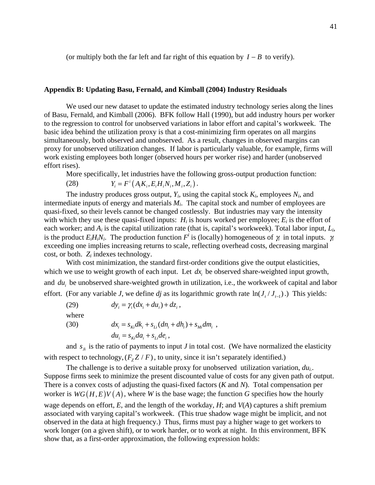(or multiply both the far left and far right of this equation by *I* − *B* to verify).

#### **Appendix B: Updating Basu, Fernald, and Kimball (2004) Industry Residuals**

We used our new dataset to update the estimated industry technology series along the lines of Basu, Fernald, and Kimball (2006). BFK follow Hall (1990), but add industry hours per worker to the regression to control for unobserved variations in labor effort and capital's workweek. The basic idea behind the utilization proxy is that a cost-minimizing firm operates on all margins simultaneously, both observed and unobserved. As a result, changes in observed margins can proxy for unobserved utilization changes. If labor is particularly valuable, for example, firms will work existing employees both longer (observed hours per worker rise) and harder (unobserved effort rises).

More specifically, let industries have the following gross-output production function: (28)  $Y = F^{i}(A K, E H N, M, Z)$ 

$$
Y_i = F^*(A_i K_i, E_i H_i N_i, M_i, Z_i).
$$

The industry produces gross output,  $Y_i$ , using the capital stock  $K_i$ , employees  $N_i$ , and intermediate inputs of energy and materials  $M_i$ . The capital stock and number of employees are quasi-fixed, so their levels cannot be changed costlessly. But industries may vary the intensity with which they use these quasi-fixed inputs:  $H_i$  is hours worked per employee;  $E_i$  is the effort of each worker; and *Ai* is the capital utilization rate (that is, capital's workweek). Total labor input, *Li*, is the product  $E_iH_iN_i$ . The production function  $F^i$  is (locally) homogeneous of  $\gamma_i$  in total inputs.  $\gamma_i$ exceeding one implies increasing returns to scale, reflecting overhead costs, decreasing marginal cost, or both. *Zi* indexes technology.

With cost minimization, the standard first-order conditions give the output elasticities, which we use to weight growth of each input. Let  $dx$ , be observed share-weighted input growth, and *du*, be unobserved share-weighted growth in utilization, i.e., the workweek of capital and labor effort. (For any variable *J*, we define *dj* as its logarithmic growth rate  $\ln(J_t/J_{t-1})$ .) This yields:

(29) 
$$
dy_{i} = \gamma_{i}(dx_{i} + du_{i}) + dz_{i},
$$
  
where  
(30) 
$$
dx_{i} = s_{ki}dk_{i} + s_{Li}(dn_{i} + dh_{i}) + s_{Mi}dm_{i},
$$

$$
du_{i} = s_{Ki}da_{i} + s_{Li}de_{i},
$$

and  $s_{\scriptscriptstyle j}$  is the ratio of payments to input *J* in total cost. (We have normalized the elasticity with respect to technology,  $(F_z Z / F)$ , to unity, since it isn't separately identified.)

The challenge is to derive a suitable proxy for unobserved utilization variation, *dui*.. Suppose firms seek to minimize the present discounted value of costs for any given path of output. There is a convex costs of adjusting the quasi-fixed factors (*K* and *N*). Total compensation per worker is  $WG(H, E)V(A)$ , where *W* is the base wage; the function *G* specifies how the hourly wage depends on effort, *E*, and the length of the workday, *H*; and *V*(*A*) captures a shift premium associated with varying capital's workweek. (This true shadow wage might be implicit, and not observed in the data at high frequency.) Thus, firms must pay a higher wage to get workers to work longer (on a given shift), or to work harder, or to work at night. In this environment, BFK show that, as a first-order approximation, the following expression holds: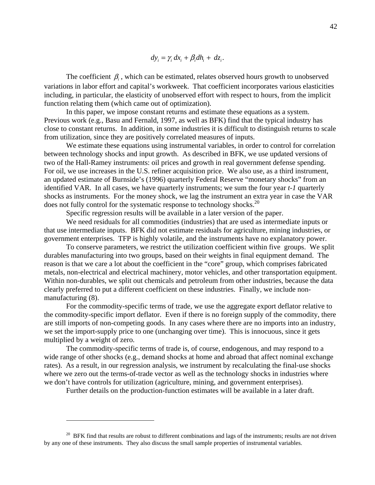$$
dy_i = \gamma_i dx_i + \beta_i dh_i + dz_i.
$$

The coefficient  $\beta$ , which can be estimated, relates observed hours growth to unobserved variations in labor effort and capital's workweek. That coefficient incorporates various elasticities including, in particular, the elasticity of unobserved effort with respect to hours, from the implicit function relating them (which came out of optimization).

In this paper, we impose constant returns and estimate these equations as a system. Previous work (e.g., Basu and Fernald, 1997, as well as BFK) find that the typical industry has close to constant returns. In addition, in some industries it is difficult to distinguish returns to scale from utilization, since they are positively correlated measures of inputs.

We estimate these equations using instrumental variables, in order to control for correlation between technology shocks and input growth. As described in BFK, we use updated versions of two of the Hall-Ramey instruments: oil prices and growth in real government defense spending. For oil, we use increases in the U.S. refiner acquisition price. We also use, as a third instrument, an updated estimate of Burnside's (1996) quarterly Federal Reserve "monetary shocks" from an identified VAR. In all cases, we have quarterly instruments; we sum the four year *t-1* quarterly shocks as instruments. For the money shock, we lag the instrument an extra year in case the VAR does not fully control for the systematic response to technology shocks.<sup>20</sup>

Specific regression results will be available in a later version of the paper.

We need residuals for all commodities (industries) that are used as intermediate inputs or that use intermediate inputs. BFK did not estimate residuals for agriculture, mining industries, or government enterprises. TFP is highly volatile, and the instruments have no explanatory power.

To conserve parameters, we restrict the utilization coefficient within five groups. We split durables manufacturing into two groups, based on their weights in final equipment demand. The reason is that we care a lot about the coefficient in the "core" group, which comprises fabricated metals, non-electrical and electrical machinery, motor vehicles, and other transportation equipment. Within non-durables, we split out chemicals and petroleum from other industries, because the data clearly preferred to put a different coefficient on these industries. Finally, we include nonmanufacturing  $(8)$ .

For the commodity-specific terms of trade, we use the aggregate export deflator relative to the commodity-specific import deflator. Even if there is no foreign supply of the commodity, there are still imports of non-competing goods. In any cases where there are no imports into an industry, we set the import-supply price to one (unchanging over time). This is innocuous, since it gets multiplied by a weight of zero.

The commodity-specific terms of trade is, of course, endogenous, and may respond to a wide range of other shocks (e.g., demand shocks at home and abroad that affect nominal exchange rates). As a result, in our regression analysis, we instrument by recalculating the final-use shocks where we zero out the terms-of-trade vector as well as the technology shocks in industries where we don't have controls for utilization (agriculture, mining, and government enterprises).

Further details on the production-function estimates will be available in a later draft.

 $20$  BFK find that results are robust to different combinations and lags of the instruments; results are not driven by any one of these instruments. They also discuss the small sample properties of instrumental variables.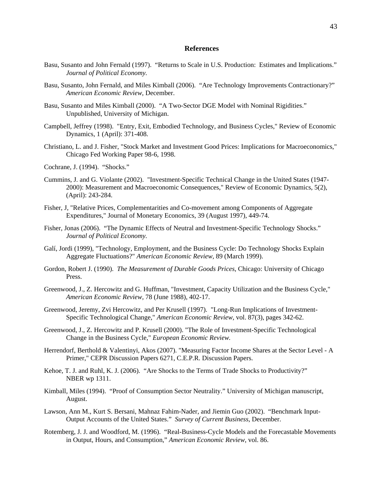#### **References**

- Basu, Susanto and John Fernald (1997). "Returns to Scale in U.S. Production: Estimates and Implications." *Journal of Political Economy.*
- Basu, Susanto, John Fernald, and Miles Kimball (2006). "Are Technology Improvements Contractionary?" *American Economic Review*, December.
- Basu, Susanto and Miles Kimball (2000). "A Two-Sector DGE Model with Nominal Rigidities." Unpublished, University of Michigan.
- Campbell, Jeffrey (1998). "Entry, Exit, Embodied Technology, and Business Cycles," Review of Economic Dynamics, 1 (April): 371-408.
- Christiano, L. and J. Fisher, "Stock Market and Investment Good Prices: Implications for Macroeconomics," Chicago Fed Working Paper 98-6, 1998.
- Cochrane, J. (1994). "Shocks."
- Cummins, J. and G. Violante (2002). "Investment-Specific Technical Change in the United States (1947- 2000): Measurement and Macroeconomic Consequences," Review of Economic Dynamics, 5(2), (April): 243-284.
- Fisher, J, "Relative Prices, Complementarities and Co-movement among Components of Aggregate Expenditures," Journal of Monetary Economics, 39 (August 1997), 449-74.
- Fisher, Jonas (2006). "The Dynamic Effects of Neutral and Investment-Specific Technology Shocks." *Journal of Political Economy.*
- Galí, Jordi (1999), "Technology, Employment, and the Business Cycle: Do Technology Shocks Explain Aggregate Fluctuations?" *American Economic Review,* 89 (March 1999).
- Gordon, Robert J. (1990). *The Measurement of Durable Goods Prices*, Chicago: University of Chicago Press.
- Greenwood, J., Z. Hercowitz and G. Huffman, "Investment, Capacity Utilization and the Business Cycle," *American Economic Review,* 78 (June 1988), 402-17.
- Greenwood, Jeremy, Zvi Hercowitz, and Per Krusell (1997). "Long-Run Implications of Investment-Specific Technological Change," *American Economic Review*, vol. 87(3), pages 342-62.
- Greenwood, J., Z. Hercowitz and P. Krusell (2000). "The Role of Investment-Specific Technological Change in the Business Cycle," *European Economic Review.*
- Herrendorf, Berthold & Valentinyi, Akos (2007). "Measuring Factor Income Shares at the Sector Level A Primer," CEPR Discussion Papers 6271, C.E.P.R. Discussion Papers.
- Kehoe, T. J. and Ruhl, K. J. (2006). "Are Shocks to the Terms of Trade Shocks to Productivity?" NBER wp 1311.
- Kimball, Miles (1994). "Proof of Consumption Sector Neutrality." University of Michigan manuscript, August.
- Lawson, Ann M., Kurt S. Bersani, Mahnaz Fahim-Nader, and Jiemin Guo (2002). "Benchmark Input-Output Accounts of the United States." *Survey of Current Business*, December.
- Rotemberg, J. J. and Woodford, M. (1996). "Real-Business-Cycle Models and the Forecastable Movements in Output, Hours, and Consumption," *American Economic Review*, vol. 86.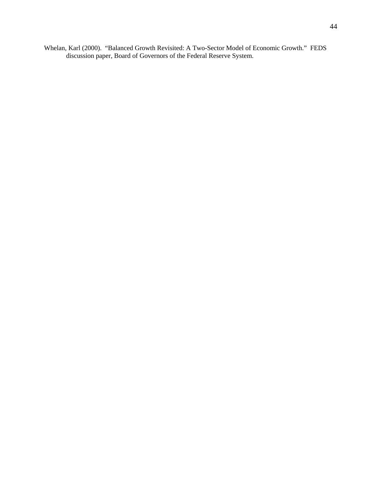Whelan, Karl (2000). "Balanced Growth Revisited: A Two-Sector Model of Economic Growth." FEDS discussion paper, Board of Governors of the Federal Reserve System.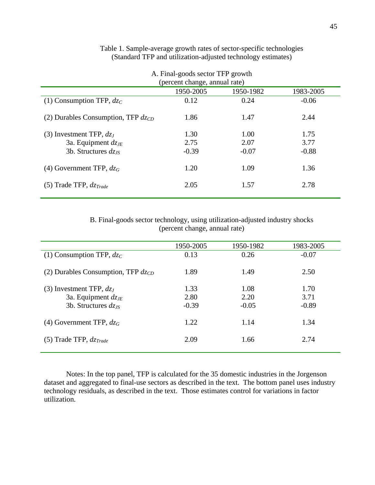| A. Final-goods sector TFP growth<br>(percent change, annual rate) |         |         |         |  |  |  |  |  |
|-------------------------------------------------------------------|---------|---------|---------|--|--|--|--|--|
| 1950-2005<br>1950-1982<br>1983-2005                               |         |         |         |  |  |  |  |  |
| (1) Consumption TFP, $dz_C$                                       | 0.12    | 0.24    | $-0.06$ |  |  |  |  |  |
| (2) Durables Consumption, TFP $d_{\mathcal{Z}CD}$                 | 1.86    | 1.47    | 2.44    |  |  |  |  |  |
| (3) Investment TFP, $dz_I$                                        | 1.30    | 1.00    | 1.75    |  |  |  |  |  |
| 3a. Equipment $dz_{JE}$                                           | 2.75    | 2.07    | 3.77    |  |  |  |  |  |
| 3b. Structures $dz_{IS}$                                          | $-0.39$ | $-0.07$ | $-0.88$ |  |  |  |  |  |
| (4) Government TFP, $dz_G$                                        | 1.20    | 1.09    | 1.36    |  |  |  |  |  |
| (5) Trade TFP, $dz_{Trade}$                                       | 2.05    | 1.57    | 2.78    |  |  |  |  |  |

## Table 1. Sample-average growth rates of sector-specific technologies (Standard TFP and utilization-adjusted technology estimates)

B. Final-goods sector technology, using utilization-adjusted industry shocks (percent change, annual rate)

|                                         | 1950-2005 | 1950-1982 | 1983-2005 |
|-----------------------------------------|-----------|-----------|-----------|
| (1) Consumption TFP, $dz_C$             | 0.13      | 0.26      | $-0.07$   |
| (2) Durables Consumption, TFP $dz_{CD}$ | 1.89      | 1.49      | 2.50      |
| (3) Investment TFP, $dz_I$              | 1.33      | 1.08      | 1.70      |
| 3a. Equipment $dz_{JE}$                 | 2.80      | 2.20      | 3.71      |
| 3b. Structures $dz_{IS}$                | $-0.39$   | $-0.05$   | $-0.89$   |
| (4) Government TFP, $dz_G$              | 1.22      | 1.14      | 1.34      |
| (5) Trade TFP, $dz_{Trade}$             | 2.09      | 1.66      | 2.74      |

Notes: In the top panel, TFP is calculated for the 35 domestic industries in the Jorgenson dataset and aggregated to final-use sectors as described in the text. The bottom panel uses industry technology residuals, as described in the text. Those estimates control for variations in factor utilization.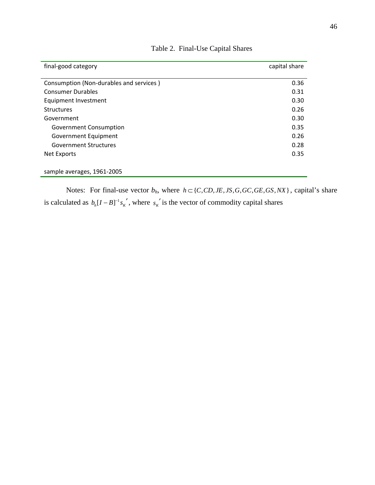| final-good category                     | capital share |
|-----------------------------------------|---------------|
|                                         |               |
| Consumption (Non-durables and services) | 0.36          |
| <b>Consumer Durables</b>                | 0.31          |
| Equipment Investment                    | 0.30          |
| <b>Structures</b>                       | 0.26          |
| Government                              | 0.30          |
| <b>Government Consumption</b>           | 0.35          |
| Government Equipment                    | 0.26          |
| <b>Government Structures</b>            | 0.28          |
| Net Exports                             | 0.35          |
|                                         |               |
| sample averages, 1961-2005              |               |

Table 2. Final-Use Capital Shares

Notes: For final-use vector  $b_h$ , where  $h \subset \{C, CD, JE, JS, G, GC, GE, GS, NX\}$ , capital's share is calculated as  $b_h [I - B]^{-1} s_K'$ , where  $s_K'$  is the vector of commodity capital shares  $s_k$ <sup>'</sup>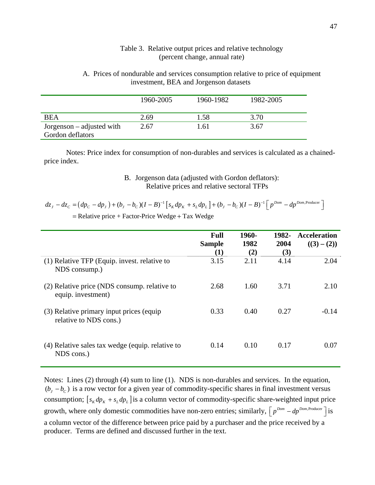### Table 3. Relative output prices and relative technology (percent change, annual rate)

A. Prices of nondurable and services consumption relative to price of equipment investment, BEA and Jorgenson datasets

|                                                 | 1960-2005 | 1960-1982 | 1982-2005 |
|-------------------------------------------------|-----------|-----------|-----------|
| BEA                                             | 2.69      | 1.58      | 3.70      |
| $Jorgenson - adjusted with$<br>Gordon deflators | 2.67      | 1.61      | 3.67      |

Notes: Price index for consumption of non-durables and services is calculated as a chainedprice index.

## B. Jorgenson data (adjusted with Gordon deflators): Relative prices and relative sectoral TFPs

| $dz_J - dz_C = (dp_C - dp_J) + (b_J - b_C)(I - B)^{-1} [s_K dp_K + s_L dp_L] + (b_J - b_C)(I - B)^{-1} [p^{Dom} - dp^{Dom, Power}]$ |  |
|-------------------------------------------------------------------------------------------------------------------------------------|--|
| $=$ Relative price + Factor-Price Wedge + Tax Wedge                                                                                 |  |

|                                                                    | <b>Full</b><br><b>Sample</b><br>$\bf(1)$ | 1960-<br>1982<br>(2) | 1982-<br>2004<br>(3) | <b>Acceleration</b><br>$((3)-(2))$ |
|--------------------------------------------------------------------|------------------------------------------|----------------------|----------------------|------------------------------------|
| (1) Relative TFP (Equip. invest. relative to<br>NDS consump.)      | 3.15                                     | 2.11                 | 4.14                 | 2.04                               |
| (2) Relative price (NDS consump. relative to<br>equip. investment) | 2.68                                     | 1.60                 | 3.71                 | 2.10                               |
| (3) Relative primary input prices (equip<br>relative to NDS cons.) | 0.33                                     | 0.40                 | 0.27                 | $-0.14$                            |
| (4) Relative sales tax wedge (equip. relative to<br>NDS cons.)     | 0.14                                     | 0.10                 | 0.17                 | 0.07                               |

Notes: Lines (2) through (4) sum to line (1). NDS is non-durables and services. In the equation,  $(b<sub>J</sub> - b<sub>C</sub>)$  is a row vector for a given year of commodity-specific shares in final investment versus consumption;  $[s_K dp_K + s_L dp_L]$  is a column vector of commodity-specific share-weighted input price growth, where only domestic commodities have non-zero entries; similarly,  $\int p^{Dom} - dp^{Dom,Producer}$  is a column vector of the difference between price paid by a purchaser and the price received by a producer. Terms are defined and discussed further in the text.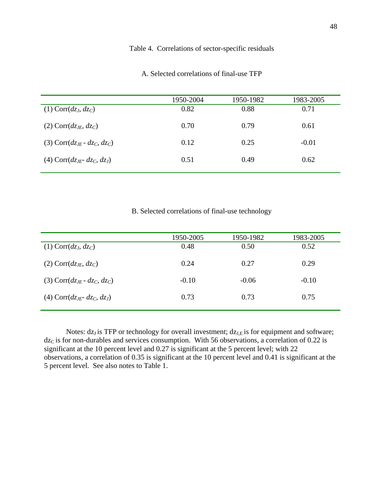## Table 4. Correlations of sector-specific residuals

|                                   | 1950-2004 | 1950-1982 | 1983-2005 |
|-----------------------------------|-----------|-----------|-----------|
| $(1)$ Corr $(dz_J, dz_C)$         | 0.82      | 0.88      | 0.71      |
| $(2)$ Corr $(dz_{JE}, dz_C)$      | 0.70      | 0.79      | 0.61      |
| (3) Corr $(dz_{IF} - dz_C, dz_C)$ | 0.12      | 0.25      | $-0.01$   |
| (4) Corr $(dz_{IF} - dz_C, dz_I)$ | 0.51      | 0.49      | 0.62      |

#### A. Selected correlations of final-use TFP

B. Selected correlations of final-use technology

|                                   | 1950-2005 | 1950-1982 | 1983-2005 |
|-----------------------------------|-----------|-----------|-----------|
| $(1)$ Corr $(dz_J, dz_C)$         | 0.48      | 0.50      | 0.52      |
| $(2)$ Corr $(dz_{JE}, dz_C)$      | 0.24      | 0.27      | 0.29      |
| (3) Corr $(dz_{IF} - dz_C, dz_C)$ | $-0.10$   | $-0.06$   | $-0.10$   |
| (4) Corr $(dz_{IF} - dz_C, dz_I)$ | 0.73      | 0.73      | 0.75      |

Notes:  $dz_J$  is TFP or technology for overall investment;  $dz_{J,E}$  is for equipment and software;  $dz<sub>C</sub>$  is for non-durables and services consumption. With 56 observations, a correlation of 0.22 is significant at the 10 percent level and 0.27 is significant at the 5 percent level; with 22 observations, a correlation of 0.35 is significant at the 10 percent level and 0.41 is significant at the 5 percent level. See also notes to Table 1.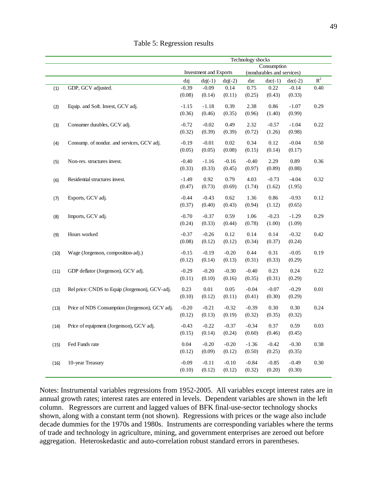|      |                                                | Technology shocks |                        |           |         |                            |           |                |
|------|------------------------------------------------|-------------------|------------------------|-----------|---------|----------------------------|-----------|----------------|
|      |                                                | Consumption       |                        |           |         |                            |           |                |
|      |                                                |                   | Investment and Exports |           |         | (nondurables and services) |           |                |
|      |                                                | dzj               | $dzj(-1)$              | $dzj(-2)$ | dzc     | $dzc(-1)$                  | $dzc(-2)$ | $\mathbb{R}^2$ |
| (1)  | GDP, GCV adjusted.                             | $-0.39$           | $-0.09$                | 0.14      | 0.75    | 0.22                       | $-0.14$   | 0.40           |
|      |                                                | (0.08)            | (0.14)                 | (0.11)    | (0.25)  | (0.43)                     | (0.33)    |                |
| (2)  | Equip. and Soft. Invest, GCV adj.              | $-1.15$           | $-1.18$                | 0.39      | 2.38    | 0.86                       | $-1.07$   | 0.29           |
|      |                                                | (0.36)            | (0.46)                 | (0.35)    | (0.96)  | (1.40)                     | (0.99)    |                |
|      |                                                |                   |                        |           |         |                            |           |                |
| (3)  | Consumer durables, GCV adj.                    | $-0.72$           | $-0.02$                | 0.49      | 2.32    | $-0.57$                    | $-1.04$   | 0.22           |
|      |                                                | (0.32)            | (0.39)                 | (0.39)    | (0.72)  | (1.26)                     | (0.98)    |                |
| (4)  | Consump. of nondur. and services, GCV adj.     | $-0.19$           | $-0.01$                | 0.02      | 0.34    | 0.12                       | $-0.04$   | 0.50           |
|      |                                                | (0.05)            | (0.05)                 | (0.08)    | (0.15)  | (0.14)                     | (0.17)    |                |
|      | Non-res. structures invest.                    | $-0.40$           | $-1.16$                | $-0.16$   | $-0.40$ | 2.29                       | 0.89      | 0.36           |
| (5)  |                                                | (0.33)            | (0.33)                 | (0.45)    | (0.97)  | (0.89)                     | (0.88)    |                |
|      |                                                |                   |                        |           |         |                            |           |                |
| (6)  | Residential structures invest.                 | $-1.49$           | 0.92                   | 0.79      | 4.03    | $-0.73$                    | $-4.04$   | 0.32           |
|      |                                                | (0.47)            | (0.73)                 | (0.69)    | (1.74)  | (1.62)                     | (1.95)    |                |
| (7)  | Exports, GCV adj.                              | $-0.44$           | $-0.43$                | 0.62      | 1.36    | 0.86                       | $-0.93$   | 0.12           |
|      |                                                | (0.37)            | (0.40)                 | (0.43)    | (0.94)  | (1.12)                     | (0.65)    |                |
|      |                                                |                   |                        |           |         |                            |           |                |
| (8)  | Imports, GCV adj.                              | $-0.70$           | $-0.37$                | 0.59      | 1.06    | $-0.23$                    | $-1.29$   | 0.29           |
|      |                                                | (0.24)            | (0.33)                 | (0.44)    | (0.78)  | (1.00)                     | (1.09)    |                |
| (9)  | Hours worked                                   | $-0.37$           | $-0.26$                | 0.12      | 0.14    | 0.14                       | $-0.32$   | 0.42           |
|      |                                                | (0.08)            | (0.12)                 | (0.12)    | (0.34)  | (0.37)                     | (0.24)    |                |
|      |                                                |                   |                        |           |         |                            |           |                |
| (10) | Wage (Jorgenson, composition-adj.)             | $-0.15$           | $-0.19$                | $-0.20$   | 0.44    | 0.31                       | $-0.05$   | 0.19           |
|      |                                                | (0.12)            | (0.14)                 | (0.13)    | (0.31)  | (0.33)                     | (0.29)    |                |
| (11) | GDP deflator (Jorgenson), GCV adj.             | $-0.29$           | $-0.20$                | $-0.30$   | $-0.40$ | 0.23                       | 0.24      | 0.22           |
|      |                                                | (0.11)            | (0.10)                 | (0.16)    | (0.35)  | (0.31)                     | (0.29)    |                |
| (12) | Rel price: CNDS to Equip (Jorgenson), GCV-adj. | 0.23              | 0.01                   | 0.05      | $-0.04$ | $-0.07$                    | $-0.29$   | 0.01           |
|      |                                                | (0.10)            | (0.12)                 | (0.11)    | (0.41)  | (0.30)                     | (0.29)    |                |
|      |                                                |                   |                        |           |         |                            |           |                |
| (13) | Price of NDS Consumption (Jorgenson), GCV adj. | $-0.20$           | $-0.21$                | $-0.32$   | $-0.39$ | 0.30                       | 0.30      | 0.24           |
|      |                                                | (0.12)            | (0.13)                 | (0.19)    | (0.32)  | (0.35)                     | (0.32)    |                |
| (14) | Price of equipment (Jorgenson), GCV adj.       | $-0.43$           | $-0.22$                | $-0.37$   | $-0.34$ | 0.37                       | 0.59      | 0.03           |
|      |                                                | (0.15)            | (0.14)                 | (0.24)    | (0.60)  | (0.46)                     | (0.45)    |                |
|      |                                                |                   |                        |           |         |                            |           |                |
| (15) | Fed Funds rate                                 | 0.04              | $-0.20$                | $-0.20$   | $-1.36$ | $-0.42$                    | $-0.30$   | 0.38           |
|      |                                                | (0.12)            | (0.09)                 | (0.12)    | (0.50)  | (0.25)                     | (0.35)    |                |
| (16) | 10-year Treasury                               | $-0.09$           | $-0.11$                | $-0.10$   | $-0.84$ | $-0.85$                    | $-0.49$   | 0.30           |
|      |                                                | (0.10)            | (0.12)                 | (0.12)    | (0.32)  | (0.20)                     | (0.30)    |                |
|      |                                                |                   |                        |           |         |                            |           |                |

Table 5: Regression results

Notes: Instrumental variables regressions from 1952-2005. All variables except interest rates are in annual growth rates; interest rates are entered in levels. Dependent variables are shown in the left column. Regressors are current and lagged values of BFK final-use-sector technology shocks shown, along with a constant term (not shown). Regressions with prices or the wage also include decade dummies for the 1970s and 1980s. Instruments are corresponding variables where the terms of trade and technology in agriculture, mining, and government enterprises are zeroed out before aggregation. Heteroskedastic and auto-correlation robust standard errors in parentheses.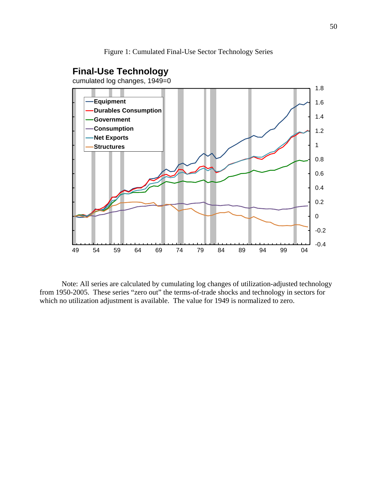Figure 1: Cumulated Final-Use Sector Technology Series

## **Final-Use Technology**

cumulated log changes, 1949=0



Note: All series are calculated by cumulating log changes of utilization-adjusted technology from 1950-2005. These series "zero out" the terms-of-trade shocks and technology in sectors for which no utilization adjustment is available. The value for 1949 is normalized to zero.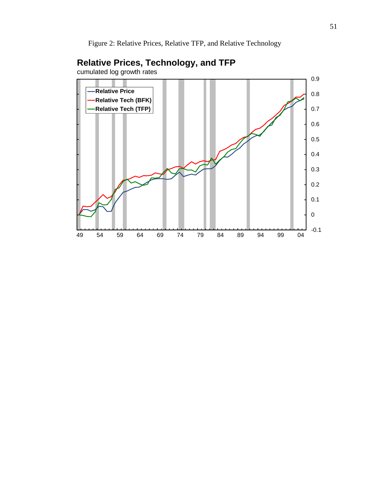Figure 2: Relative Prices, Relative TFP, and Relative Technology



# **Relative Prices, Technology, and TFP**

cumulated log growth rates